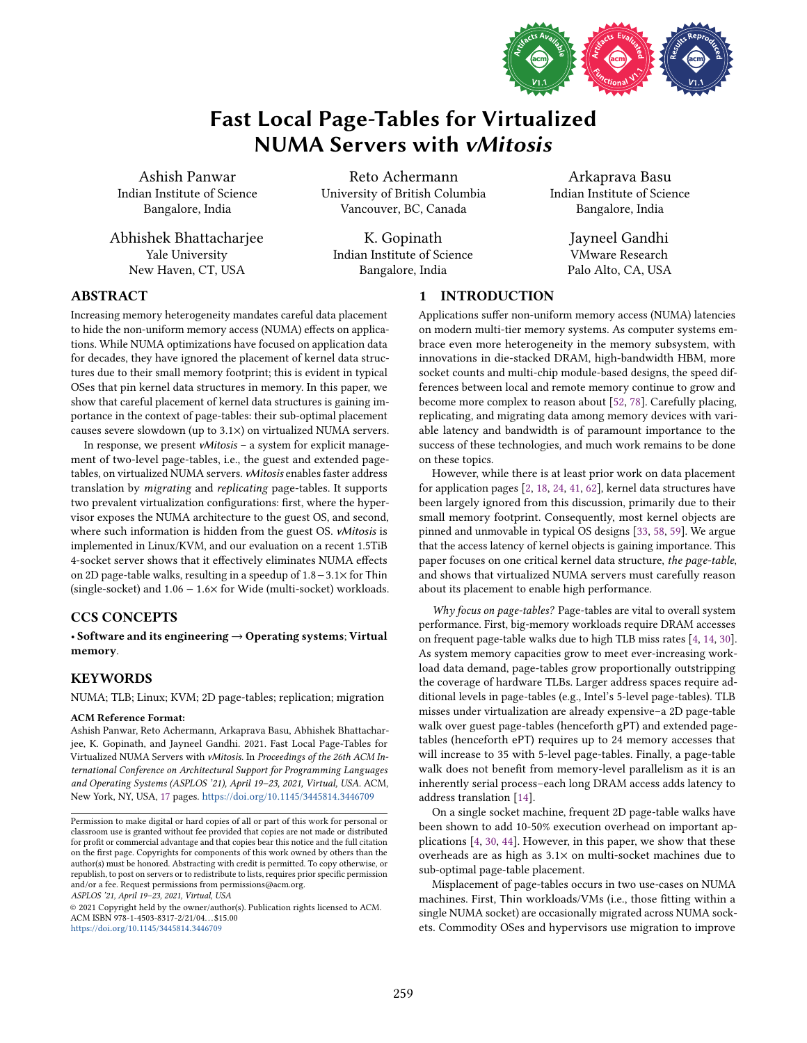

# Fast Local Page-Tables for Virtualized NUMA Servers with vMitosis

Ashish Panwar Indian Institute of Science Bangalore, India

Abhishek Bhattacharjee Yale University New Haven, CT, USA

Reto Achermann University of British Columbia Vancouver, BC, Canada

K. Gopinath Indian Institute of Science Bangalore, India

Arkaprava Basu Indian Institute of Science Bangalore, India

> Jayneel Gandhi VMware Research Palo Alto, CA, USA

## ABSTRACT

Increasing memory heterogeneity mandates careful data placement to hide the non-uniform memory access (NUMA) effects on applications. While NUMA optimizations have focused on application data for decades, they have ignored the placement of kernel data structures due to their small memory footprint; this is evident in typical OSes that pin kernel data structures in memory. In this paper, we show that careful placement of kernel data structures is gaining importance in the context of page-tables: their sub-optimal placement causes severe slowdown (up to 3.1×) on virtualized NUMA servers.

In response, we present  $vMitosis - a$  system for explicit management of two-level page-tables, i.e., the guest and extended pagetables, on virtualized NUMA servers. vMitosis enables faster address translation by migrating and replicating page-tables. It supports two prevalent virtualization configurations: first, where the hypervisor exposes the NUMA architecture to the guest OS, and second, where such information is hidden from the guest OS. vMitosis is implemented in Linux/KVM, and our evaluation on a recent 1.5TiB 4-socket server shows that it effectively eliminates NUMA effects on 2D page-table walks, resulting in a speedup of 1.8−3.1× for Thin (single-socket) and  $1.06 - 1.6 \times$  for Wide (multi-socket) workloads.

## CCS CONCEPTS

· Software and its engineering → Operating systems; Virtual memory.

## KEYWORDS

NUMA; TLB; Linux; KVM; 2D page-tables; replication; migration

#### ACM Reference Format:

Ashish Panwar, Reto Achermann, Arkaprava Basu, Abhishek Bhattacharjee, K. Gopinath, and Jayneel Gandhi. 2021. Fast Local Page-Tables for Virtualized NUMA Servers with vMitosis. In Proceedings of the 26th ACM International Conference on Architectural Support for Programming Languages and Operating Systems (ASPLOS '21), April 19-23, 2021, Virtual, USA. ACM, New York, NY, USA, [17](#page-16-0) pages. https://doi.org/10.[1145/3445814](https://doi.org/10.1145/3445814.3446709).3446709

ASPLOS '21, April 19-23, 2021, Virtual, USA

© 2021 Copyright held by the owner/author(s). Publication rights licensed to ACM. ACM ISBN 978-1-4503-8317-2/21/04. . . \$15.00 https://doi.org/10.[1145/3445814](https://doi.org/10.1145/3445814.3446709).3446709

## 1 INTRODUCTION

Applications suffer non-uniform memory access (NUMA) latencies on modern multi-tier memory systems. As computer systems embrace even more heterogeneity in the memory subsystem, with innovations in die-stacked DRAM, high-bandwidth HBM, more socket counts and multi-chip module-based designs, the speed differences between local and remote memory continue to grow and become more complex to reason about [\[52,](#page-15-0) [78\]](#page-16-1). Carefully placing, replicating, and migrating data among memory devices with variable latency and bandwidth is of paramount importance to the success of these technologies, and much work remains to be done on these topics.

However, while there is at least prior work on data placement for application pages [\[2,](#page-14-0) [18,](#page-14-1) [24,](#page-14-2) [41,](#page-15-1) [62\]](#page-15-2), kernel data structures have been largely ignored from this discussion, primarily due to their small memory footprint. Consequently, most kernel objects are pinned and unmovable in typical OS designs [\[33,](#page-15-3) [58,](#page-15-4) [59\]](#page-15-5). We argue that the access latency of kernel objects is gaining importance. This paper focuses on one critical kernel data structure, the page-table, and shows that virtualized NUMA servers must carefully reason about its placement to enable high performance.

Why focus on page-tables? Page-tables are vital to overall system performance. First, big-memory workloads require DRAM accesses on frequent page-table walks due to high TLB miss rates [\[4,](#page-14-3) [14,](#page-14-4) [30\]](#page-15-6). As system memory capacities grow to meet ever-increasing workload data demand, page-tables grow proportionally outstripping the coverage of hardware TLBs. Larger address spaces require additional levels in page-tables (e.g., Intel's 5-level page-tables). TLB misses under virtualization are already expensive-a 2D page-table walk over guest page-tables (henceforth gPT) and extended pagetables (henceforth ePT) requires up to 24 memory accesses that will increase to 35 with 5-level page-tables. Finally, a page-table walk does not benefit from memory-level parallelism as it is an inherently serial process-each long DRAM access adds latency to address translation [\[14\]](#page-14-4).

On a single socket machine, frequent 2D page-table walks have been shown to add 10-50% execution overhead on important applications [\[4,](#page-14-3) [30,](#page-15-6) [44\]](#page-15-7). However, in this paper, we show that these overheads are as high as 3.1× on multi-socket machines due to sub-optimal page-table placement.

Misplacement of page-tables occurs in two use-cases on NUMA machines. First, Thin workloads/VMs (i.e., those fitting within a single NUMA socket) are occasionally migrated across NUMA sockets. Commodity OSes and hypervisors use migration to improve

Permission to make digital or hard copies of all or part of this work for personal or classroom use is granted without fee provided that copies are not made or distributed for profit or commercial advantage and that copies bear this notice and the full citation on the first page. Copyrights for components of this work owned by others than the author(s) must be honored. Abstracting with credit is permitted. To copy otherwise, or republish, to post on servers or to redistribute to lists, requires prior specific permission and/or a fee. Request permissions from permissions@acm.org.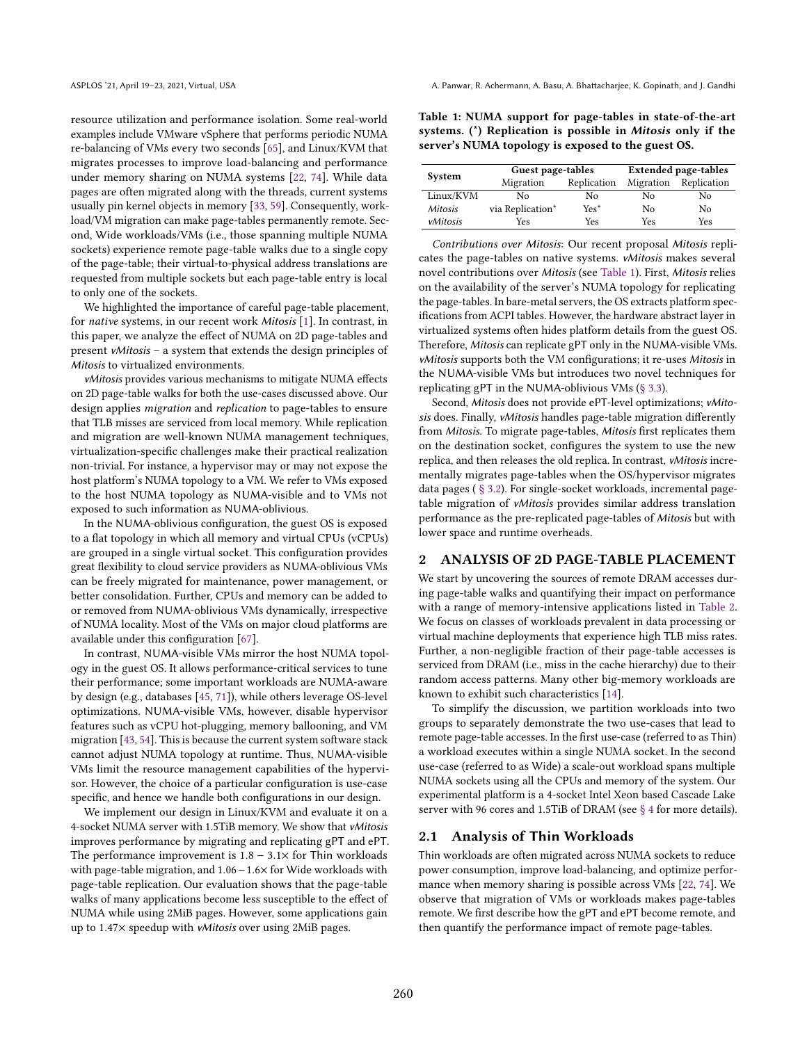resource utilization and performance isolation. Some real-world examples include VMware vSphere that performs periodic NUMA re-balancing of VMs every two seconds [\[65\]](#page-15-8), and Linux/KVM that migrates processes to improve load-balancing and performance under memory sharing on NUMA systems [\[22,](#page-14-5) [74\]](#page-16-2). While data pages are often migrated along with the threads, current systems usually pin kernel objects in memory [\[33,](#page-15-3) [59\]](#page-15-5). Consequently, workload/VM migration can make page-tables permanently remote. Second, Wide workloads/VMs (i.e., those spanning multiple NUMA sockets) experience remote page-table walks due to a single copy of the page-table; their virtual-to-physical address translations are requested from multiple sockets but each page-table entry is local to only one of the sockets.

We highlighted the importance of careful page-table placement, for native systems, in our recent work Mitosis [\[1\]](#page-14-6). In contrast, in this paper, we analyze the effect of NUMA on 2D page-tables and present *vMitosis* – a system that extends the design principles of Mitosis to virtualized environments.

vMitosis provides various mechanisms to mitigate NUMA effects on 2D page-table walks for both the use-cases discussed above. Our design applies migration and replication to page-tables to ensure that TLB misses are serviced from local memory. While replication and migration are well-known NUMA management techniques, virtualization-specific challenges make their practical realization non-trivial. For instance, a hypervisor may or may not expose the host platform's NUMA topology to a VM. We refer to VMs exposed to the host NUMA topology as NUMA-visible and to VMs not exposed to such information as NUMA-oblivious.

In the NUMA-oblivious configuration, the guest OS is exposed to a flat topology in which all memory and virtual CPUs (vCPUs) are grouped in a single virtual socket. This configuration provides great flexibility to cloud service providers as NUMA-oblivious VMs can be freely migrated for maintenance, power management, or better consolidation. Further, CPUs and memory can be added to or removed from NUMA-oblivious VMs dynamically, irrespective of NUMA locality. Most of the VMs on major cloud platforms are available under this configuration [\[67\]](#page-15-9).

In contrast, NUMA-visible VMs mirror the host NUMA topology in the guest OS. It allows performance-critical services to tune their performance; some important workloads are NUMA-aware by design (e.g., databases [\[45,](#page-15-10) [71\]](#page-15-11)), while others leverage OS-level optimizations. NUMA-visible VMs, however, disable hypervisor features such as vCPU hot-plugging, memory ballooning, and VM migration [\[43,](#page-15-12) [54\]](#page-15-13). This is because the current system software stack cannot adjust NUMA topology at runtime. Thus, NUMA-visible VMs limit the resource management capabilities of the hypervisor. However, the choice of a particular configuration is use-case specific, and hence we handle both configurations in our design.

We implement our design in Linux/KVM and evaluate it on a 4-socket NUMA server with 1.5TiB memory. We show that vMitosis improves performance by migrating and replicating gPT and ePT. The performance improvement is  $1.8 - 3.1 \times$  for Thin workloads with page-table migration, and 1.06−1.6× for Wide workloads with page-table replication. Our evaluation shows that the page-table walks of many applications become less susceptible to the effect of NUMA while using 2MiB pages. However, some applications gain up to 1.47× speedup with vMitosis over using 2MiB pages.

<span id="page-1-0"></span>Table 1: NUMA support for page-tables in state-of-the-art systems. (\*) Replication is possible in Mitosis only if the server's NUMA topology is exposed to the guest OS.

| System         | Guest page-tables        |        | <b>Extended page-tables</b> |             |  |
|----------------|--------------------------|--------|-----------------------------|-------------|--|
|                | Replication<br>Migration |        | Migration                   | Replication |  |
| Linux/KVM      | No                       | No     | No                          | No          |  |
| <b>Mitosis</b> | via Replication*         | $Yes*$ | No                          | No          |  |
| vMitosis       | Yes                      | Yes    | Yes                         | Yes         |  |

Contributions over Mitosis: Our recent proposal Mitosis replicates the page-tables on native systems. vMitosis makes several novel contributions over Mitosis (see [Table 1\)](#page-1-0). First, Mitosis relies on the availability of the server's NUMA topology for replicating the page-tables. In bare-metal servers, the OS extracts platform specifications from ACPI tables. However, the hardware abstract layer in virtualized systems often hides platform details from the guest OS. Therefore, Mitosis can replicate gPT only in the NUMA-visible VMs. vMitosis supports both the VM configurations; it re-uses Mitosis in the NUMA-visible VMs but introduces two novel techniques for replicating gPT in the NUMA-oblivious VMs [\(ğ 3.3\)](#page-5-0).

Second, Mitosis does not provide ePT-level optimizations; vMitosis does. Finally, vMitosis handles page-table migration differently from Mitosis. To migrate page-tables, Mitosis first replicates them on the destination socket, configures the system to use the new replica, and then releases the old replica. In contrast, vMitosis incrementally migrates page-tables when the OS/hypervisor migrates data pages ( [ğ 3.2\)](#page-4-0). For single-socket workloads, incremental pagetable migration of vMitosis provides similar address translation performance as the pre-replicated page-tables of Mitosis but with lower space and runtime overheads.

#### 2 ANALYSIS OF 2D PAGE-TABLE PLACEMENT

We start by uncovering the sources of remote DRAM accesses during page-table walks and quantifying their impact on performance with a range of memory-intensive applications listed in [Table 2.](#page-2-0) We focus on classes of workloads prevalent in data processing or virtual machine deployments that experience high TLB miss rates. Further, a non-negligible fraction of their page-table accesses is serviced from DRAM (i.e., miss in the cache hierarchy) due to their random access patterns. Many other big-memory workloads are known to exhibit such characteristics [\[14\]](#page-14-4).

To simplify the discussion, we partition workloads into two groups to separately demonstrate the two use-cases that lead to remote page-table accesses. In the first use-case (referred to as Thin) a workload executes within a single NUMA socket. In the second use-case (referred to as Wide) a scale-out workload spans multiple NUMA sockets using all the CPUs and memory of the system. Our experimental platform is a 4-socket Intel Xeon based Cascade Lake server with 96 cores and 1.5TiB of DRAM (see § 4 for more details).

#### <span id="page-1-1"></span>2.1 Analysis of Thin Workloads

Thin workloads are often migrated across NUMA sockets to reduce power consumption, improve load-balancing, and optimize performance when memory sharing is possible across VMs [\[22,](#page-14-5) [74\]](#page-16-2). We observe that migration of VMs or workloads makes page-tables remote. We first describe how the gPT and ePT become remote, and then quantify the performance impact of remote page-tables.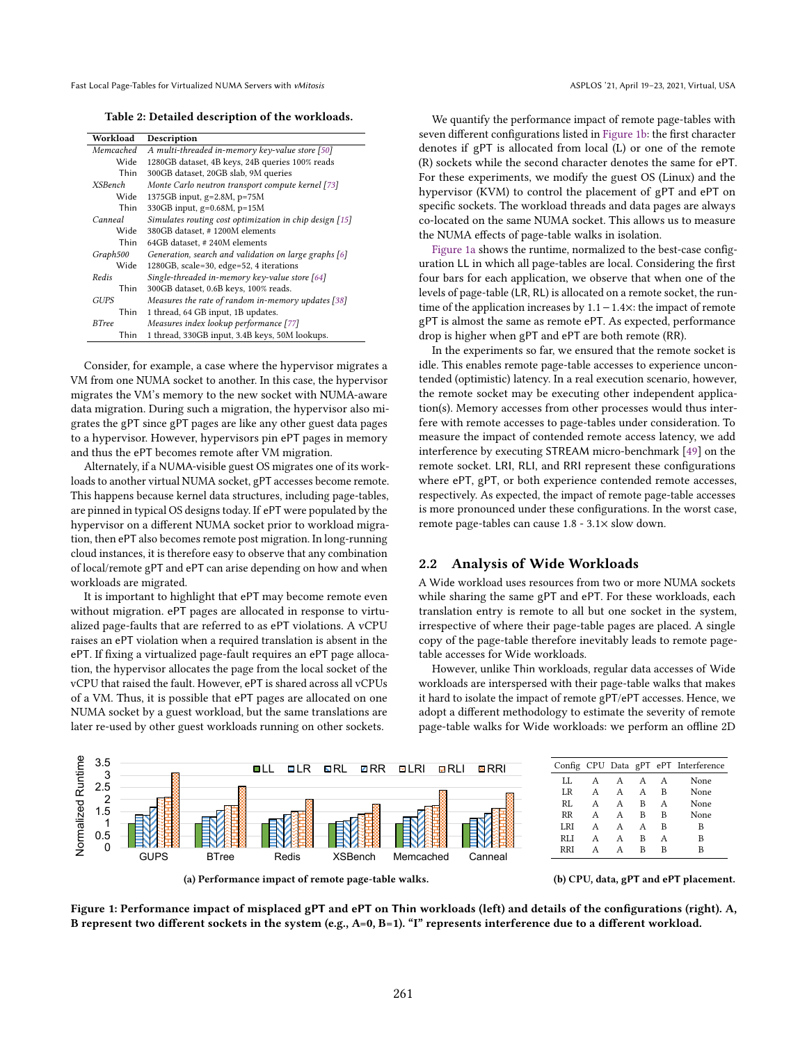Table 2: Detailed description of the workloads.

<span id="page-2-0"></span>

| Workload       | Description                                             |
|----------------|---------------------------------------------------------|
| Memcached      | A multi-threaded in-memory key-value store [50]         |
| Wide           | 1280GB dataset, 4B keys, 24B queries 100% reads         |
| Thin           | 300GB dataset, 20GB slab, 9M queries                    |
| <b>XSBench</b> | Monte Carlo neutron transport compute kernel [73]       |
| Wide           | 1375GB input, g=2.8M, p=75M                             |
| Thin           | 330GB input, g=0.68M, p=15M                             |
| Canneal        | Simulates routing cost optimization in chip design [15] |
| Wide           | 380GB dataset, #1200M elements                          |
| Thin           | 64GB dataset, #240M elements                            |
| Graph500       | Generation, search and validation on large graphs [6]   |
| Wide           | 1280GB, scale=30, edge=52, 4 iterations                 |
| Redis          | Single-threaded in-memory key-value store [64]          |
| <b>Thin</b>    | 300GB dataset, 0.6B keys, 100% reads.                   |
| <b>GUPS</b>    | Measures the rate of random in-memory updates [38]      |
| Thin           | 1 thread, 64 GB input, 1B updates.                      |
| <b>BTree</b>   | Measures index lookup performance [77]                  |
| Thin           | 1 thread, 330GB input, 3.4B keys, 50M lookups.          |

Consider, for example, a case where the hypervisor migrates a VM from one NUMA socket to another. In this case, the hypervisor migrates the VM's memory to the new socket with NUMA-aware data migration. During such a migration, the hypervisor also migrates the gPT since gPT pages are like any other guest data pages to a hypervisor. However, hypervisors pin ePT pages in memory and thus the ePT becomes remote after VM migration.

Alternately, if a NUMA-visible guest OS migrates one of its workloads to another virtual NUMA socket, gPT accesses become remote. This happens because kernel data structures, including page-tables, are pinned in typical OS designs today. If ePT were populated by the hypervisor on a different NUMA socket prior to workload migration, then ePT also becomes remote post migration. In long-running cloud instances, it is therefore easy to observe that any combination of local/remote gPT and ePT can arise depending on how and when workloads are migrated.

It is important to highlight that ePT may become remote even without migration. ePT pages are allocated in response to virtualized page-faults that are referred to as ePT violations. A vCPU raises an ePT violation when a required translation is absent in the ePT. If fixing a virtualized page-fault requires an ePT page allocation, the hypervisor allocates the page from the local socket of the vCPU that raised the fault. However, ePT is shared across all vCPUs of a VM. Thus, it is possible that ePT pages are allocated on one NUMA socket by a guest workload, but the same translations are later re-used by other guest workloads running on other sockets.

We quantify the performance impact of remote page-tables with seven different configurations listed in [Figure 1b:](#page-2-1) the first character denotes if gPT is allocated from local (L) or one of the remote (R) sockets while the second character denotes the same for ePT. For these experiments, we modify the guest OS (Linux) and the hypervisor (KVM) to control the placement of gPT and ePT on specific sockets. The workload threads and data pages are always co-located on the same NUMA socket. This allows us to measure the NUMA effects of page-table walks in isolation.

[Figure 1a](#page-2-1) shows the runtime, normalized to the best-case configuration LL in which all page-tables are local. Considering the first four bars for each application, we observe that when one of the levels of page-table (LR, RL) is allocated on a remote socket, the runtime of the application increases by 1.1−1.4×: the impact of remote gPT is almost the same as remote ePT. As expected, performance drop is higher when gPT and ePT are both remote (RR).

In the experiments so far, we ensured that the remote socket is idle. This enables remote page-table accesses to experience uncontended (optimistic) latency. In a real execution scenario, however, the remote socket may be executing other independent application(s). Memory accesses from other processes would thus interfere with remote accesses to page-tables under consideration. To measure the impact of contended remote access latency, we add interference by executing STREAM micro-benchmark [\[49\]](#page-15-17) on the remote socket. LRI, RLI, and RRI represent these configurations where ePT, gPT, or both experience contended remote accesses, respectively. As expected, the impact of remote page-table accesses is more pronounced under these configurations. In the worst case, remote page-tables can cause 1.8 - 3.1× slow down.

## 2.2 Analysis of Wide Workloads

A Wide workload uses resources from two or more NUMA sockets while sharing the same gPT and ePT. For these workloads, each translation entry is remote to all but one socket in the system, irrespective of where their page-table pages are placed. A single copy of the page-table therefore inevitably leads to remote pagetable accesses for Wide workloads.

However, unlike Thin workloads, regular data accesses of Wide workloads are interspersed with their page-table walks that makes it hard to isolate the impact of remote gPT/ePT accesses. Hence, we adopt a different methodology to estimate the severity of remote page-table walks for Wide workloads: we perform an offline 2D

<span id="page-2-1"></span>



(b) CPU, data, gPT and ePT placement.

Figure 1: Performance impact of misplaced gPT and ePT on Thin workloads (left) and details of the configurations (right). A, B represent two different sockets in the system (e.g.,  $A=0$ ,  $B=1$ ). "I" represents interference due to a different workload.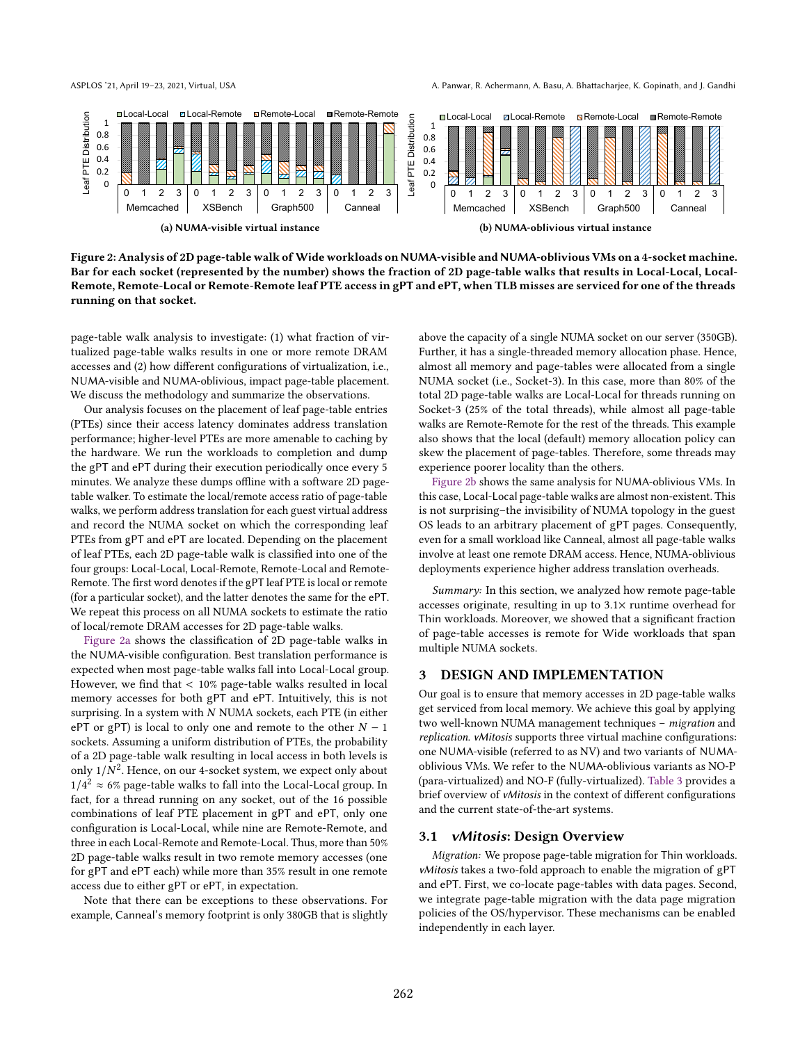ASPLOS '21, April 19-23, 2021, Virtual, USA A. Panwar, R. Achermann, A. Basu, A. Bhattacharjee, K. Gopinath, and J. Gandhi

<span id="page-3-0"></span>

Figure 2: Analysis of 2D page-table walk of Wide workloads on NUMA-visible and NUMA-oblivious VMs on a 4-socket machine. Bar for each socket (represented by the number) shows the fraction of 2D page-table walks that results in Local-Local, Local-Remote, Remote-Local or Remote-Remote leaf PTE access in gPT and ePT, when TLB misses are serviced for one of the threads running on that socket.

page-table walk analysis to investigate: (1) what fraction of virtualized page-table walks results in one or more remote DRAM accesses and (2) how different configurations of virtualization, i.e., NUMA-visible and NUMA-oblivious, impact page-table placement. We discuss the methodology and summarize the observations.

Our analysis focuses on the placement of leaf page-table entries (PTEs) since their access latency dominates address translation performance; higher-level PTEs are more amenable to caching by the hardware. We run the workloads to completion and dump the gPT and ePT during their execution periodically once every 5 minutes. We analyze these dumps offline with a software 2D pagetable walker. To estimate the local/remote access ratio of page-table walks, we perform address translation for each guest virtual address and record the NUMA socket on which the corresponding leaf PTEs from gPT and ePT are located. Depending on the placement of leaf PTEs, each 2D page-table walk is classified into one of the four groups: Local-Local, Local-Remote, Remote-Local and Remote-Remote. The first word denotes if the gPT leaf PTE is local or remote (for a particular socket), and the latter denotes the same for the ePT. We repeat this process on all NUMA sockets to estimate the ratio of local/remote DRAM accesses for 2D page-table walks.

[Figure 2a](#page-3-0) shows the classification of 2D page-table walks in the NUMA-visible configuration. Best translation performance is expected when most page-table walks fall into Local-Local group. However, we find that < 10% page-table walks resulted in local memory accesses for both gPT and ePT. Intuitively, this is not surprising. In a system with  $N$  NUMA sockets, each PTE (in either ePT or gPT) is local to only one and remote to the other  $N - 1$ sockets. Assuming a uniform distribution of PTEs, the probability of a 2D page-table walk resulting in local access in both levels is only  $1/N^2$ . Hence, on our 4-socket system, we expect only about  $1/4^2 \approx 6\%$  page-table walks to fall into the Local-Local group. In fact, for a thread running on any socket, out of the 16 possible combinations of leaf PTE placement in gPT and ePT, only one configuration is Local-Local, while nine are Remote-Remote, and three in each Local-Remote and Remote-Local. Thus, more than 50% 2D page-table walks result in two remote memory accesses (one for gPT and ePT each) while more than 35% result in one remote access due to either gPT or ePT, in expectation.

Note that there can be exceptions to these observations. For example, Canneal's memory footprint is only 380GB that is slightly

above the capacity of a single NUMA socket on our server (350GB). Further, it has a single-threaded memory allocation phase. Hence, almost all memory and page-tables were allocated from a single NUMA socket (i.e., Socket-3). In this case, more than 80% of the total 2D page-table walks are Local-Local for threads running on Socket-3 (25% of the total threads), while almost all page-table walks are Remote-Remote for the rest of the threads. This example also shows that the local (default) memory allocation policy can skew the placement of page-tables. Therefore, some threads may experience poorer locality than the others.

[Figure 2b](#page-3-0) shows the same analysis for NUMA-oblivious VMs. In this case, Local-Local page-table walks are almost non-existent. This is not surprising-the invisibility of NUMA topology in the guest OS leads to an arbitrary placement of gPT pages. Consequently, even for a small workload like Canneal, almost all page-table walks involve at least one remote DRAM access. Hence, NUMA-oblivious deployments experience higher address translation overheads.

Summary: In this section, we analyzed how remote page-table accesses originate, resulting in up to 3.1× runtime overhead for Thin workloads. Moreover, we showed that a significant fraction of page-table accesses is remote for Wide workloads that span multiple NUMA sockets.

## 3 DESIGN AND IMPLEMENTATION

Our goal is to ensure that memory accesses in 2D page-table walks get serviced from local memory. We achieve this goal by applying two well-known NUMA management techniques - migration and replication. vMitosis supports three virtual machine configurations: one NUMA-visible (referred to as NV) and two variants of NUMAoblivious VMs. We refer to the NUMA-oblivious variants as NO-P (para-virtualized) and NO-F (fully-virtualized). [Table 3](#page-4-1) provides a brief overview of vMitosis in the context of different configurations and the current state-of-the-art systems.

#### 3.1 vMitosis: Design Overview

Migration: We propose page-table migration for Thin workloads. vMitosis takes a two-fold approach to enable the migration of gPT and ePT. First, we co-locate page-tables with data pages. Second, we integrate page-table migration with the data page migration policies of the OS/hypervisor. These mechanisms can be enabled independently in each layer.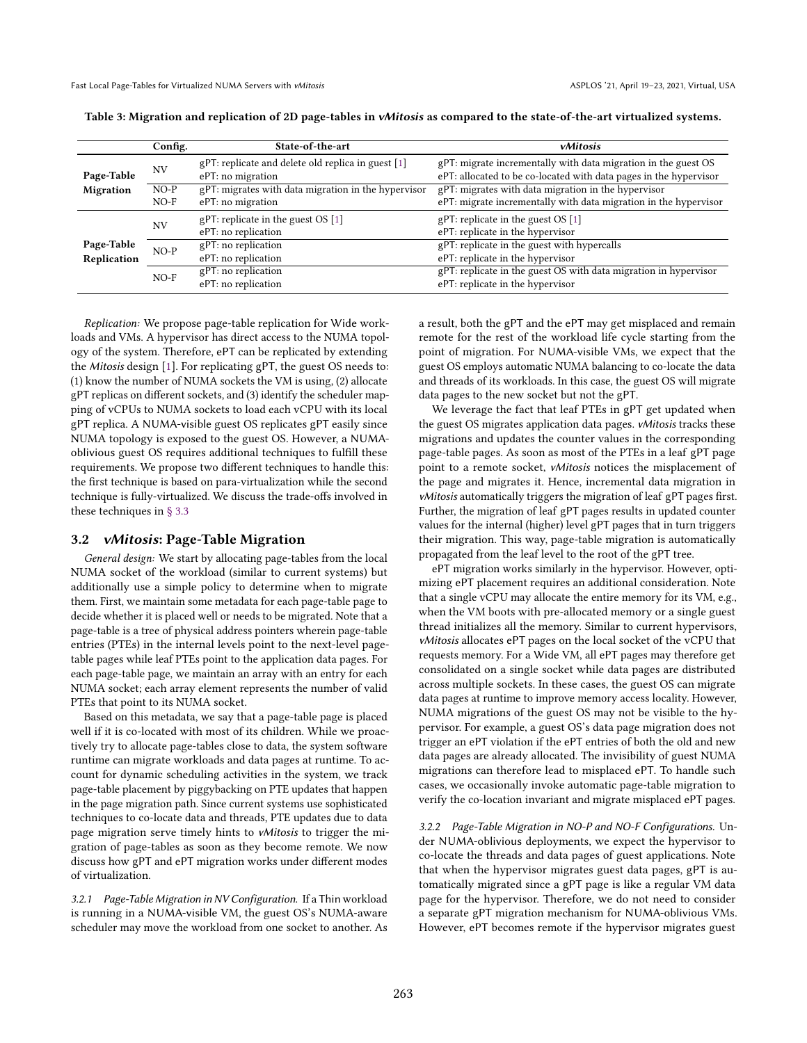|                  | Config.   | State-of-the-art                                    | vMitosis                                                          |  |  |
|------------------|-----------|-----------------------------------------------------|-------------------------------------------------------------------|--|--|
|                  | <b>NV</b> | gPT: replicate and delete old replica in guest [1]  | gPT: migrate incrementally with data migration in the guest OS    |  |  |
| Page-Table       |           | ePT: no migration                                   | ePT: allocated to be co-located with data pages in the hypervisor |  |  |
| <b>Migration</b> | $NO-P$    | gPT: migrates with data migration in the hypervisor | gPT: migrates with data migration in the hypervisor               |  |  |
|                  | $NO-F$    | ePT: no migration                                   | ePT: migrate incrementally with data migration in the hypervisor  |  |  |
|                  | <b>NV</b> | $gPT$ : replicate in the guest OS [1]               | gPT: replicate in the guest $OS[1]$                               |  |  |
|                  |           | ePT: no replication                                 | ePT: replicate in the hypervisor                                  |  |  |
| Page-Table       | $NO-P$    | gPT: no replication                                 | gPT: replicate in the guest with hypercalls                       |  |  |
| Replication      |           | ePT: no replication                                 | ePT: replicate in the hypervisor                                  |  |  |
|                  | $NO-F$    | gPT: no replication                                 | gPT: replicate in the guest OS with data migration in hypervisor  |  |  |
|                  |           | ePT: no replication                                 | ePT: replicate in the hypervisor                                  |  |  |

<span id="page-4-1"></span>Table 3: Migration and replication of 2D page-tables in vMitosis as compared to the state-of-the-art virtualized systems.

Replication: We propose page-table replication for Wide workloads and VMs. A hypervisor has direct access to the NUMA topology of the system. Therefore, ePT can be replicated by extending the Mitosis design [\[1\]](#page-14-6). For replicating gPT, the guest OS needs to: (1) know the number of NUMA sockets the VM is using, (2) allocate gPT replicas on different sockets, and (3) identify the scheduler mapping of vCPUs to NUMA sockets to load each vCPU with its local gPT replica. A NUMA-visible guest OS replicates gPT easily since NUMA topology is exposed to the guest OS. However, a NUMAoblivious guest OS requires additional techniques to fulfill these requirements. We propose two different techniques to handle this: the first technique is based on para-virtualization while the second technique is fully-virtualized. We discuss the trade-offs involved in these techniques in [ğ 3.3](#page-5-0)

## <span id="page-4-0"></span>3.2 vMitosis: Page-Table Migration

General design: We start by allocating page-tables from the local NUMA socket of the workload (similar to current systems) but additionally use a simple policy to determine when to migrate them. First, we maintain some metadata for each page-table page to decide whether it is placed well or needs to be migrated. Note that a page-table is a tree of physical address pointers wherein page-table entries (PTEs) in the internal levels point to the next-level pagetable pages while leaf PTEs point to the application data pages. For each page-table page, we maintain an array with an entry for each NUMA socket; each array element represents the number of valid PTEs that point to its NUMA socket.

Based on this metadata, we say that a page-table page is placed well if it is co-located with most of its children. While we proactively try to allocate page-tables close to data, the system software runtime can migrate workloads and data pages at runtime. To account for dynamic scheduling activities in the system, we track page-table placement by piggybacking on PTE updates that happen in the page migration path. Since current systems use sophisticated techniques to co-locate data and threads, PTE updates due to data page migration serve timely hints to vMitosis to trigger the migration of page-tables as soon as they become remote. We now discuss how gPT and ePT migration works under different modes of virtualization.

3.2.1 Page-Table Migration in NV Configuration. If a Thin workload is running in a NUMA-visible VM, the guest OS's NUMA-aware scheduler may move the workload from one socket to another. As

a result, both the gPT and the ePT may get misplaced and remain remote for the rest of the workload life cycle starting from the point of migration. For NUMA-visible VMs, we expect that the guest OS employs automatic NUMA balancing to co-locate the data and threads of its workloads. In this case, the guest OS will migrate data pages to the new socket but not the gPT.

We leverage the fact that leaf PTEs in gPT get updated when the guest OS migrates application data pages. vMitosis tracks these migrations and updates the counter values in the corresponding page-table pages. As soon as most of the PTEs in a leaf gPT page point to a remote socket, vMitosis notices the misplacement of the page and migrates it. Hence, incremental data migration in vMitosis automatically triggers the migration of leaf gPT pages first. Further, the migration of leaf gPT pages results in updated counter values for the internal (higher) level gPT pages that in turn triggers their migration. This way, page-table migration is automatically propagated from the leaf level to the root of the gPT tree.

ePT migration works similarly in the hypervisor. However, optimizing ePT placement requires an additional consideration. Note that a single vCPU may allocate the entire memory for its VM, e.g., when the VM boots with pre-allocated memory or a single guest thread initializes all the memory. Similar to current hypervisors, vMitosis allocates ePT pages on the local socket of the vCPU that requests memory. For a Wide VM, all ePT pages may therefore get consolidated on a single socket while data pages are distributed across multiple sockets. In these cases, the guest OS can migrate data pages at runtime to improve memory access locality. However, NUMA migrations of the guest OS may not be visible to the hypervisor. For example, a guest OS's data page migration does not trigger an ePT violation if the ePT entries of both the old and new data pages are already allocated. The invisibility of guest NUMA migrations can therefore lead to misplaced ePT. To handle such cases, we occasionally invoke automatic page-table migration to verify the co-location invariant and migrate misplaced ePT pages.

3.2.2 Page-Table Migration in NO-P and NO-F Configurations. Under NUMA-oblivious deployments, we expect the hypervisor to co-locate the threads and data pages of guest applications. Note that when the hypervisor migrates guest data pages, gPT is automatically migrated since a gPT page is like a regular VM data page for the hypervisor. Therefore, we do not need to consider a separate gPT migration mechanism for NUMA-oblivious VMs. However, ePT becomes remote if the hypervisor migrates guest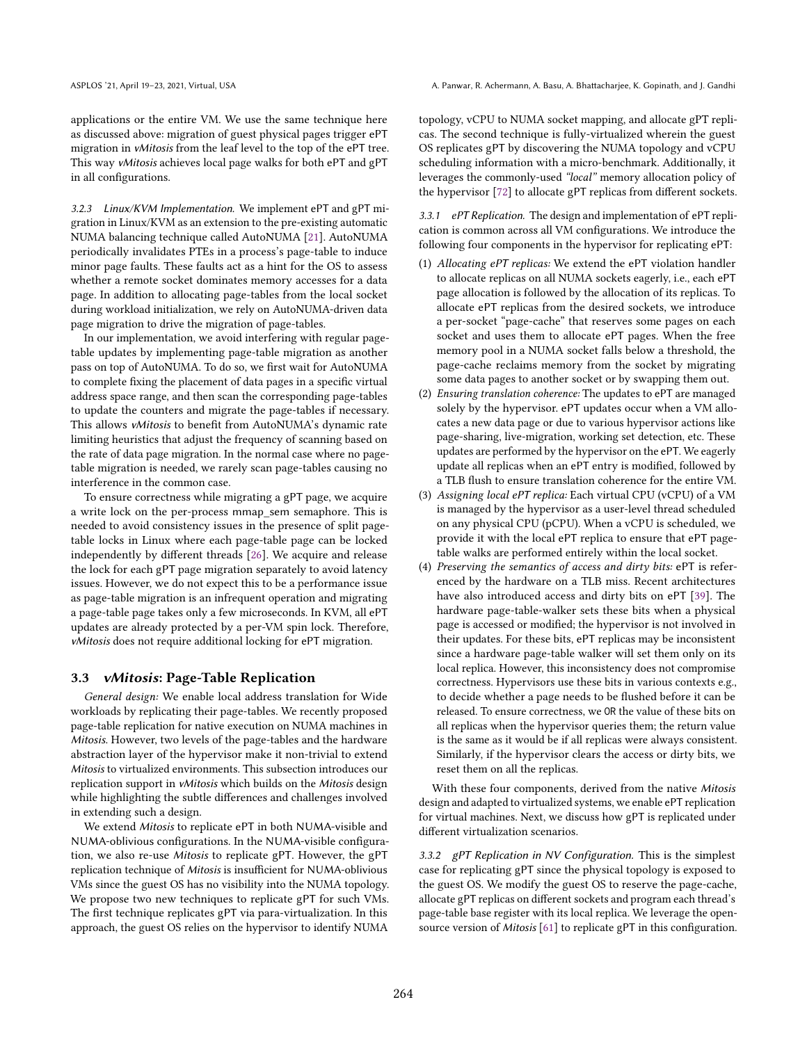applications or the entire VM. We use the same technique here as discussed above: migration of guest physical pages trigger ePT migration in vMitosis from the leaf level to the top of the ePT tree. This way vMitosis achieves local page walks for both ePT and gPT in all configurations.

3.2.3 Linux/KVM Implementation. We implement ePT and gPT migration in Linux/KVM as an extension to the pre-existing automatic NUMA balancing technique called AutoNUMA [\[21\]](#page-14-9). AutoNUMA periodically invalidates PTEs in a process's page-table to induce minor page faults. These faults act as a hint for the OS to assess whether a remote socket dominates memory accesses for a data page. In addition to allocating page-tables from the local socket during workload initialization, we rely on AutoNUMA-driven data page migration to drive the migration of page-tables.

In our implementation, we avoid interfering with regular pagetable updates by implementing page-table migration as another pass on top of AutoNUMA. To do so, we first wait for AutoNUMA to complete fixing the placement of data pages in a specific virtual address space range, and then scan the corresponding page-tables to update the counters and migrate the page-tables if necessary. This allows vMitosis to benefit from AutoNUMA's dynamic rate limiting heuristics that adjust the frequency of scanning based on the rate of data page migration. In the normal case where no pagetable migration is needed, we rarely scan page-tables causing no interference in the common case.

To ensure correctness while migrating a gPT page, we acquire a write lock on the per-process mmap\_sem semaphore. This is needed to avoid consistency issues in the presence of split pagetable locks in Linux where each page-table page can be locked independently by different threads [\[26\]](#page-14-10). We acquire and release the lock for each gPT page migration separately to avoid latency issues. However, we do not expect this to be a performance issue as page-table migration is an infrequent operation and migrating a page-table page takes only a few microseconds. In KVM, all ePT updates are already protected by a per-VM spin lock. Therefore, vMitosis does not require additional locking for ePT migration.

#### <span id="page-5-0"></span>3.3 vMitosis: Page-Table Replication

General design: We enable local address translation for Wide workloads by replicating their page-tables. We recently proposed page-table replication for native execution on NUMA machines in Mitosis. However, two levels of the page-tables and the hardware abstraction layer of the hypervisor make it non-trivial to extend Mitosis to virtualized environments. This subsection introduces our replication support in vMitosis which builds on the Mitosis design while highlighting the subtle differences and challenges involved in extending such a design.

We extend Mitosis to replicate ePT in both NUMA-visible and NUMA-oblivious configurations. In the NUMA-visible configuration, we also re-use Mitosis to replicate gPT. However, the gPT replication technique of Mitosis is insufficient for NUMA-oblivious VMs since the guest OS has no visibility into the NUMA topology. We propose two new techniques to replicate gPT for such VMs. The first technique replicates gPT via para-virtualization. In this approach, the guest OS relies on the hypervisor to identify NUMA

topology, vCPU to NUMA socket mapping, and allocate gPT replicas. The second technique is fully-virtualized wherein the guest OS replicates gPT by discovering the NUMA topology and vCPU scheduling information with a micro-benchmark. Additionally, it leverages the commonly-used "local" memory allocation policy of the hypervisor [\[72\]](#page-16-5) to allocate gPT replicas from different sockets.

3.3.1 ePT Replication. The design and implementation of ePT replication is common across all VM configurations. We introduce the following four components in the hypervisor for replicating ePT:

- (1) Allocating ePT replicas: We extend the ePT violation handler to allocate replicas on all NUMA sockets eagerly, i.e., each ePT page allocation is followed by the allocation of its replicas. To allocate ePT replicas from the desired sockets, we introduce a per-socket "page-cache" that reserves some pages on each socket and uses them to allocate ePT pages. When the free memory pool in a NUMA socket falls below a threshold, the page-cache reclaims memory from the socket by migrating some data pages to another socket or by swapping them out.
- (2) Ensuring translation coherence: The updates to ePT are managed solely by the hypervisor. ePT updates occur when a VM allocates a new data page or due to various hypervisor actions like page-sharing, live-migration, working set detection, etc. These updates are performed by the hypervisor on the ePT. We eagerly update all replicas when an ePT entry is modified, followed by a TLB flush to ensure translation coherence for the entire VM.
- (3) Assigning local ePT replica: Each virtual CPU (vCPU) of a VM is managed by the hypervisor as a user-level thread scheduled on any physical CPU (pCPU). When a vCPU is scheduled, we provide it with the local ePT replica to ensure that ePT pagetable walks are performed entirely within the local socket.
- (4) Preserving the semantics of access and dirty bits: ePT is referenced by the hardware on a TLB miss. Recent architectures have also introduced access and dirty bits on ePT [\[39\]](#page-15-18). The hardware page-table-walker sets these bits when a physical page is accessed or modified; the hypervisor is not involved in their updates. For these bits, ePT replicas may be inconsistent since a hardware page-table walker will set them only on its local replica. However, this inconsistency does not compromise correctness. Hypervisors use these bits in various contexts e.g., to decide whether a page needs to be flushed before it can be released. To ensure correctness, we OR the value of these bits on all replicas when the hypervisor queries them; the return value is the same as it would be if all replicas were always consistent. Similarly, if the hypervisor clears the access or dirty bits, we reset them on all the replicas.

With these four components, derived from the native Mitosis design and adapted to virtualized systems, we enable ePT replication for virtual machines. Next, we discuss how gPT is replicated under different virtualization scenarios.

3.3.2 gPT Replication in NV Configuration. This is the simplest case for replicating gPT since the physical topology is exposed to the guest OS. We modify the guest OS to reserve the page-cache, allocate gPT replicas on different sockets and program each thread's page-table base register with its local replica. We leverage the opensource version of Mitosis [\[61\]](#page-15-19) to replicate gPT in this configuration.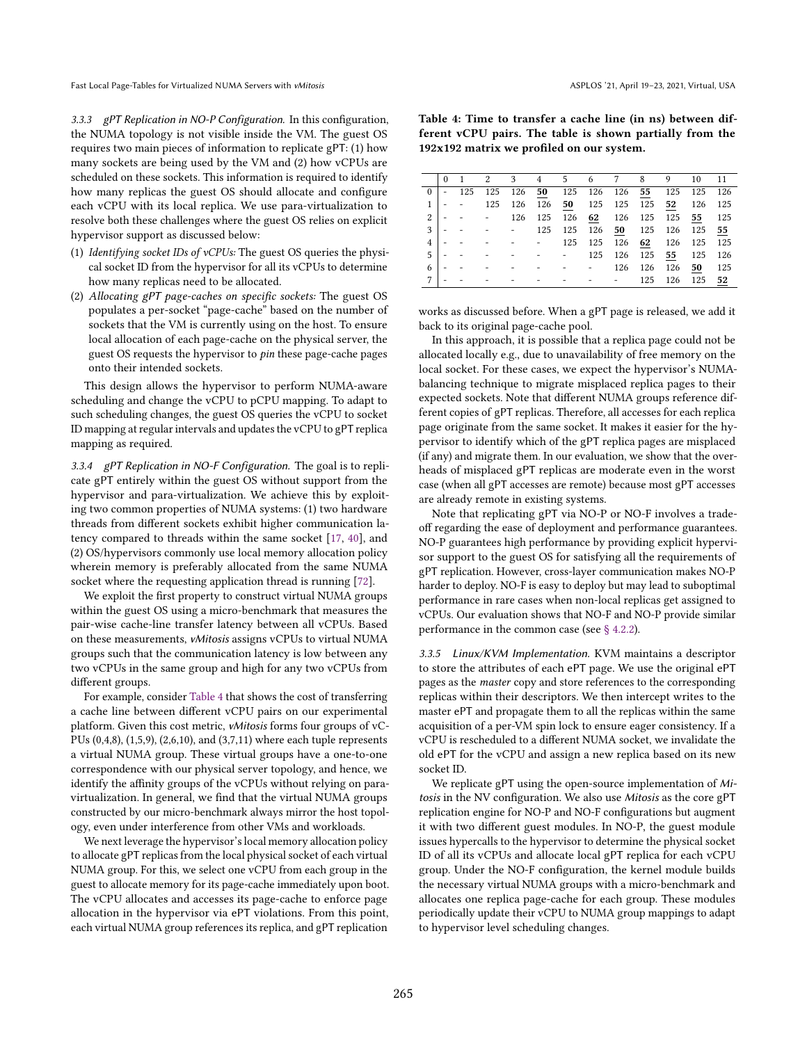3.3.3 gPT Replication in NO-P Configuration. In this configuration, the NUMA topology is not visible inside the VM. The guest OS requires two main pieces of information to replicate gPT: (1) how many sockets are being used by the VM and (2) how vCPUs are scheduled on these sockets. This information is required to identify how many replicas the guest OS should allocate and configure each vCPU with its local replica. We use para-virtualization to resolve both these challenges where the guest OS relies on explicit hypervisor support as discussed below:

- (1) Identifying socket IDs of vCPUs: The guest OS queries the physical socket ID from the hypervisor for all its vCPUs to determine how many replicas need to be allocated.
- (2) Allocating gPT page-caches on specific sockets: The guest OS populates a per-socket "page-cache" based on the number of sockets that the VM is currently using on the host. To ensure local allocation of each page-cache on the physical server, the guest OS requests the hypervisor to *pin* these page-cache pages onto their intended sockets.

This design allows the hypervisor to perform NUMA-aware scheduling and change the vCPU to pCPU mapping. To adapt to such scheduling changes, the guest OS queries the vCPU to socket ID mapping at regular intervals and updates the vCPU to gPT replica mapping as required.

3.3.4 gPT Replication in NO-F Configuration. The goal is to replicate gPT entirely within the guest OS without support from the hypervisor and para-virtualization. We achieve this by exploiting two common properties of NUMA systems: (1) two hardware threads from different sockets exhibit higher communication latency compared to threads within the same socket [\[17,](#page-14-11) [40\]](#page-15-20), and (2) OS/hypervisors commonly use local memory allocation policy wherein memory is preferably allocated from the same NUMA socket where the requesting application thread is running [\[72\]](#page-16-5).

We exploit the first property to construct virtual NUMA groups within the guest OS using a micro-benchmark that measures the pair-wise cache-line transfer latency between all vCPUs. Based on these measurements, vMitosis assigns vCPUs to virtual NUMA groups such that the communication latency is low between any two vCPUs in the same group and high for any two vCPUs from different groups.

For example, consider [Table 4](#page-6-0) that shows the cost of transferring a cache line between different vCPU pairs on our experimental platform. Given this cost metric, vMitosis forms four groups of vC-PUs (0,4,8), (1,5,9), (2,6,10), and (3,7,11) where each tuple represents a virtual NUMA group. These virtual groups have a one-to-one correspondence with our physical server topology, and hence, we identify the affinity groups of the vCPUs without relying on paravirtualization. In general, we find that the virtual NUMA groups constructed by our micro-benchmark always mirror the host topology, even under interference from other VMs and workloads.

We next leverage the hypervisor's local memory allocation policy to allocate gPT replicas from the local physical socket of each virtual NUMA group. For this, we select one vCPU from each group in the guest to allocate memory for its page-cache immediately upon boot. The vCPU allocates and accesses its page-cache to enforce page allocation in the hypervisor via ePT violations. From this point, each virtual NUMA group references its replica, and gPT replication

<span id="page-6-0"></span>Table 4: Time to transfer a cache line (in ns) between different vCPU pairs. The table is shown partially from the 192x192 matrix we profiled on our system.

|   |             |  |  | 0 1 2 3 4 5 6 7 8 9 10 11                                                    |     |                |     |       |
|---|-------------|--|--|------------------------------------------------------------------------------|-----|----------------|-----|-------|
|   | $0$   - 125 |  |  | 125 126 50 125 126 126 55 125 125 126                                        |     |                |     |       |
|   |             |  |  | $1 \vert -$ - 125 126 126 50 125 125 125 52 126                              |     |                |     | 125   |
|   |             |  |  | $2 \vert -$ - - 126 125 126 62 126 125 125 55 125                            |     |                |     |       |
|   |             |  |  | $3 \vert -$ - - - 125 125 126 50 125 126 125                                 |     |                |     | 55    |
|   |             |  |  | $4 \vert - - - - - - - 125 \vert 125 \vert 126 \vert 62 \vert 126 \vert 125$ |     |                |     | - 125 |
|   | $5 - -$     |  |  | - - - - - $125$ 126 125 55 125                                               |     |                |     | - 126 |
|   |             |  |  |                                                                              |     | 126 126 126 50 |     | 125   |
| 7 |             |  |  | والمتواصل والمتواطن والمتواطن والمتواطن                                      | 125 | 126            | 125 | 52    |
|   |             |  |  |                                                                              |     |                |     |       |

works as discussed before. When a gPT page is released, we add it back to its original page-cache pool.

In this approach, it is possible that a replica page could not be allocated locally e.g., due to unavailability of free memory on the local socket. For these cases, we expect the hypervisor's NUMAbalancing technique to migrate misplaced replica pages to their expected sockets. Note that different NUMA groups reference different copies of gPT replicas. Therefore, all accesses for each replica page originate from the same socket. It makes it easier for the hypervisor to identify which of the gPT replica pages are misplaced (if any) and migrate them. In our evaluation, we show that the overheads of misplaced gPT replicas are moderate even in the worst case (when all gPT accesses are remote) because most gPT accesses are already remote in existing systems.

Note that replicating gPT via NO-P or NO-F involves a tradeoff regarding the ease of deployment and performance guarantees. NO-P guarantees high performance by providing explicit hypervisor support to the guest OS for satisfying all the requirements of gPT replication. However, cross-layer communication makes NO-P harder to deploy. NO-F is easy to deploy but may lead to suboptimal performance in rare cases when non-local replicas get assigned to vCPUs. Our evaluation shows that NO-F and NO-P provide similar performance in the common case (see [ğ 4.2.2\)](#page-8-0).

3.3.5 Linux/KVM Implementation. KVM maintains a descriptor to store the attributes of each ePT page. We use the original ePT pages as the master copy and store references to the corresponding replicas within their descriptors. We then intercept writes to the master ePT and propagate them to all the replicas within the same acquisition of a per-VM spin lock to ensure eager consistency. If a vCPU is rescheduled to a different NUMA socket, we invalidate the old ePT for the vCPU and assign a new replica based on its new socket ID.

We replicate gPT using the open-source implementation of Mitosis in the NV configuration. We also use Mitosis as the core gPT replication engine for NO-P and NO-F configurations but augment it with two different guest modules. In NO-P, the guest module issues hypercalls to the hypervisor to determine the physical socket ID of all its vCPUs and allocate local gPT replica for each vCPU group. Under the NO-F configuration, the kernel module builds the necessary virtual NUMA groups with a micro-benchmark and allocates one replica page-cache for each group. These modules periodically update their vCPU to NUMA group mappings to adapt to hypervisor level scheduling changes.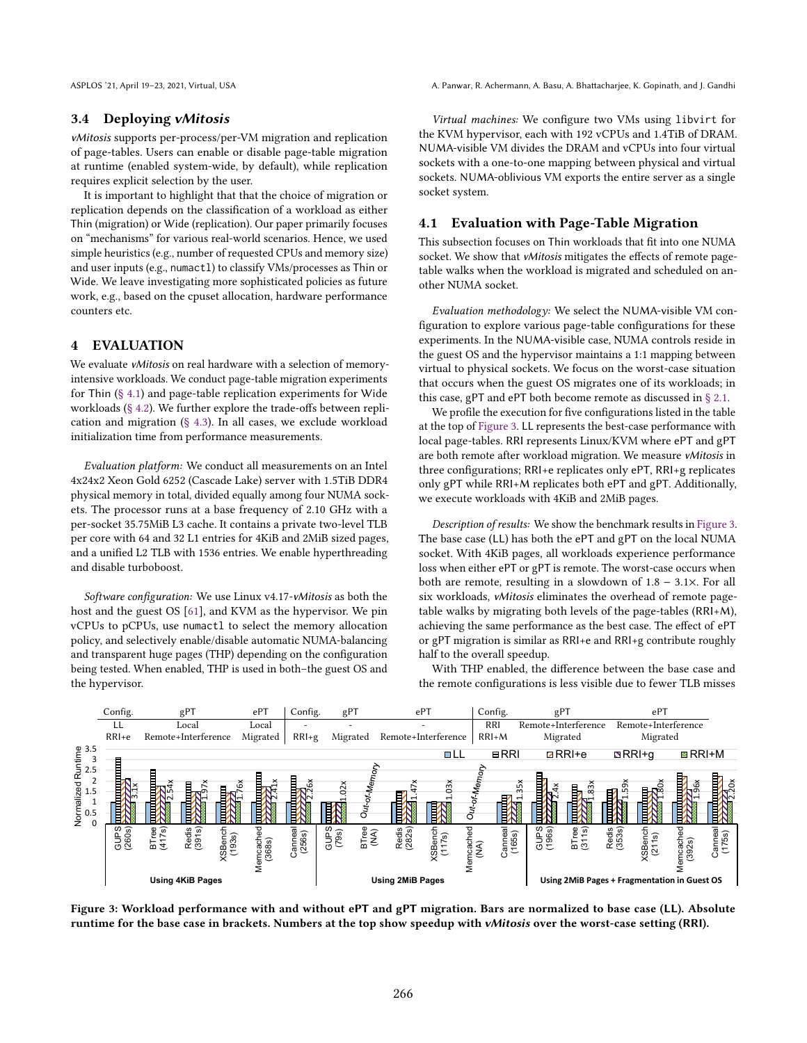## 3.4 Deploying vMitosis

vMitosis supports per-process/per-VM migration and replication of page-tables. Users can enable or disable page-table migration at runtime (enabled system-wide, by default), while replication requires explicit selection by the user.

It is important to highlight that that the choice of migration or replication depends on the classification of a workload as either Thin (migration) or Wide (replication). Our paper primarily focuses on "mechanisms" for various real-world scenarios. Hence, we used simple heuristics (e.g., number of requested CPUs and memory size) and user inputs (e.g., numactl) to classify VMs/processes as Thin or Wide. We leave investigating more sophisticated policies as future work, e.g., based on the cpuset allocation, hardware performance counters etc.

## <span id="page-7-0"></span>4 EVALUATION

We evaluate vMitosis on real hardware with a selection of memoryintensive workloads. We conduct page-table migration experiments for Thin [\(ğ 4.1\)](#page-7-1) and page-table replication experiments for Wide workloads [\(ğ 4.2\)](#page-8-1). We further explore the trade-offs between replication and migration [\(ğ 4.3\)](#page-9-0). In all cases, we exclude workload initialization time from performance measurements.

Evaluation platform: We conduct all measurements on an Intel 4x24x2 Xeon Gold 6252 (Cascade Lake) server with 1.5TiB DDR4 physical memory in total, divided equally among four NUMA sockets. The processor runs at a base frequency of 2.10 GHz with a per-socket 35.75MiB L3 cache. It contains a private two-level TLB per core with 64 and 32 L1 entries for 4KiB and 2MiB sized pages, and a unified L2 TLB with 1536 entries. We enable hyperthreading and disable turboboost.

Software configuration: We use Linux v4.17-vMitosis as both the host and the guest OS [\[61\]](#page-15-19), and KVM as the hypervisor. We pin vCPUs to pCPUs, use numactl to select the memory allocation policy, and selectively enable/disable automatic NUMA-balancing and transparent huge pages (THP) depending on the configuration being tested. When enabled, THP is used in both-the guest OS and the hypervisor.

ASPLOS '21, April 19-23, 2021, Virtual, USA A. Panwar, R. Achermann, A. Basu, A. Bhattacharjee, K. Gopinath, and J. Gandhi

Virtual machines: We configure two VMs using libvirt for the KVM hypervisor, each with 192 vCPUs and 1.4TiB of DRAM. NUMA-visible VM divides the DRAM and vCPUs into four virtual sockets with a one-to-one mapping between physical and virtual sockets. NUMA-oblivious VM exports the entire server as a single socket system.

## <span id="page-7-1"></span>4.1 Evaluation with Page-Table Migration

This subsection focuses on Thin workloads that fit into one NUMA socket. We show that *vMitosis* mitigates the effects of remote pagetable walks when the workload is migrated and scheduled on another NUMA socket.

Evaluation methodology: We select the NUMA-visible VM configuration to explore various page-table configurations for these experiments. In the NUMA-visible case, NUMA controls reside in the guest OS and the hypervisor maintains a 1:1 mapping between virtual to physical sockets. We focus on the worst-case situation that occurs when the guest OS migrates one of its workloads; in this case, gPT and ePT both become remote as discussed in [ğ 2.1.](#page-1-1)

We profile the execution for five configurations listed in the table at the top of [Figure 3.](#page-7-2) LL represents the best-case performance with local page-tables. RRI represents Linux/KVM where ePT and gPT are both remote after workload migration. We measure vMitosis in three configurations; RRI+e replicates only ePT, RRI+g replicates only gPT while RRI+M replicates both ePT and gPT. Additionally, we execute workloads with 4KiB and 2MiB pages.

Description of results: We show the benchmark results in [Figure 3.](#page-7-2) The base case (LL) has both the ePT and gPT on the local NUMA socket. With 4KiB pages, all workloads experience performance loss when either ePT or gPT is remote. The worst-case occurs when both are remote, resulting in a slowdown of 1.8 − 3.1×. For all six workloads, vMitosis eliminates the overhead of remote pagetable walks by migrating both levels of the page-tables (RRI+M), achieving the same performance as the best case. The effect of ePT or gPT migration is similar as RRI+e and RRI+g contribute roughly half to the overall speedup.

With THP enabled, the difference between the base case and the remote configurations is less visible due to fewer TLB misses

<span id="page-7-2"></span>

Figure 3: Workload performance with and without ePT and gPT migration. Bars are normalized to base case (LL). Absolute runtime for the base case in brackets. Numbers at the top show speedup with vMitosis over the worst-case setting (RRI).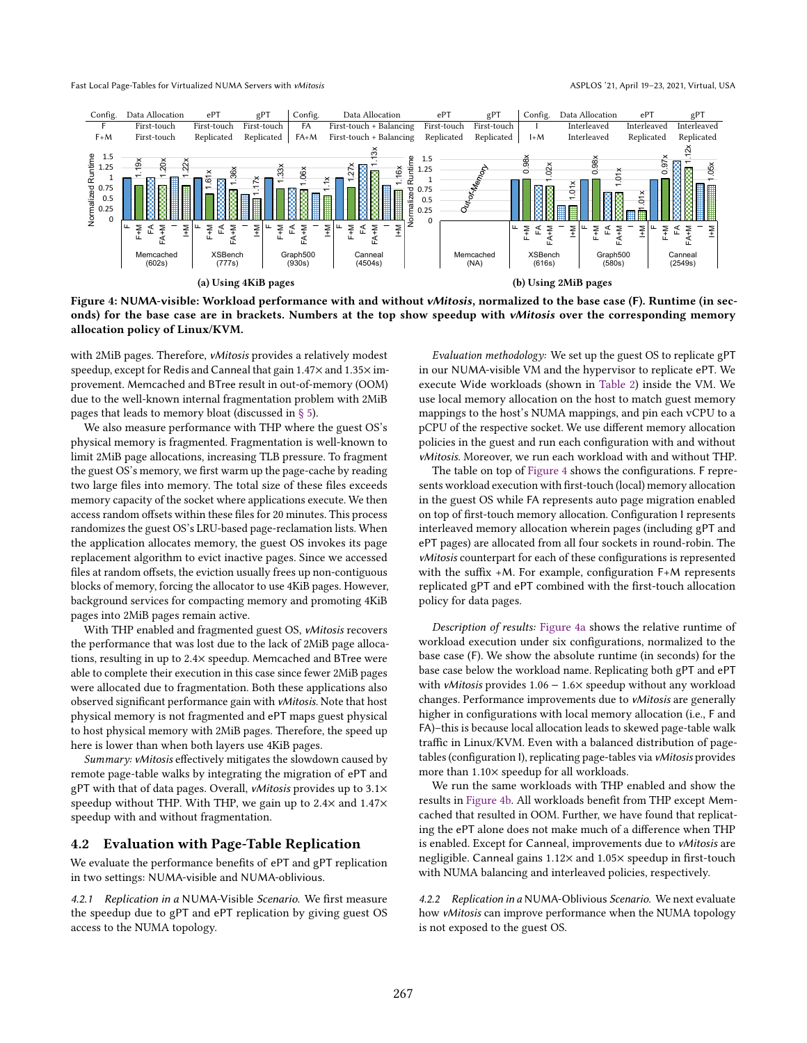<span id="page-8-2"></span>

Figure 4: NUMA-visible: Workload performance with and without vMitosis, normalized to the base case (F). Runtime (in seconds) for the base case are in brackets. Numbers at the top show speedup with vMitosis over the corresponding memory allocation policy of Linux/KVM.

with 2MiB pages. Therefore, vMitosis provides a relatively modest speedup, except for Redis and Canneal that gain 1.47× and 1.35× improvement. Memcached and BTree result in out-of-memory (OOM) due to the well-known internal fragmentation problem with 2MiB pages that leads to memory bloat (discussed in [ğ 5\)](#page-11-0).

We also measure performance with THP where the guest OS's physical memory is fragmented. Fragmentation is well-known to limit 2MiB page allocations, increasing TLB pressure. To fragment the guest OS's memory, we first warm up the page-cache by reading two large files into memory. The total size of these files exceeds memory capacity of the socket where applications execute. We then access random offsets within these files for 20 minutes. This process randomizes the guest OS's LRU-based page-reclamation lists. When the application allocates memory, the guest OS invokes its page replacement algorithm to evict inactive pages. Since we accessed files at random offsets, the eviction usually frees up non-contiguous blocks of memory, forcing the allocator to use 4KiB pages. However, background services for compacting memory and promoting 4KiB pages into 2MiB pages remain active.

With THP enabled and fragmented guest OS, vMitosis recovers the performance that was lost due to the lack of 2MiB page allocations, resulting in up to 2.4× speedup. Memcached and BTree were able to complete their execution in this case since fewer 2MiB pages were allocated due to fragmentation. Both these applications also observed significant performance gain with vMitosis. Note that host physical memory is not fragmented and ePT maps guest physical to host physical memory with 2MiB pages. Therefore, the speed up here is lower than when both layers use 4KiB pages.

Summary: vMitosis effectively mitigates the slowdown caused by remote page-table walks by integrating the migration of ePT and gPT with that of data pages. Overall, vMitosis provides up to 3.1× speedup without THP. With THP, we gain up to 2.4× and 1.47× speedup with and without fragmentation.

#### <span id="page-8-1"></span>4.2 Evaluation with Page-Table Replication

We evaluate the performance benefits of ePT and gPT replication in two settings: NUMA-visible and NUMA-oblivious.

4.2.1 Replication in a NUMA-Visible Scenario. We first measure the speedup due to gPT and ePT replication by giving guest OS access to the NUMA topology.

Evaluation methodology: We set up the guest OS to replicate gPT in our NUMA-visible VM and the hypervisor to replicate ePT. We execute Wide workloads (shown in [Table 2\)](#page-2-0) inside the VM. We use local memory allocation on the host to match guest memory mappings to the host's NUMA mappings, and pin each vCPU to a pCPU of the respective socket. We use different memory allocation policies in the guest and run each configuration with and without vMitosis. Moreover, we run each workload with and without THP.

The table on top of [Figure 4](#page-8-2) shows the configurations. F represents workload execution with first-touch (local) memory allocation in the guest OS while FA represents auto page migration enabled on top of first-touch memory allocation. Configuration I represents interleaved memory allocation wherein pages (including gPT and ePT pages) are allocated from all four sockets in round-robin. The vMitosis counterpart for each of these configurations is represented with the suffix +M. For example, configuration F+M represents replicated gPT and ePT combined with the first-touch allocation policy for data pages.

Description of results: [Figure 4a](#page-8-2) shows the relative runtime of workload execution under six configurations, normalized to the base case (F). We show the absolute runtime (in seconds) for the base case below the workload name. Replicating both gPT and ePT with *vMitosis* provides 1.06 − 1.6× speedup without any workload changes. Performance improvements due to vMitosis are generally higher in configurations with local memory allocation (i.e., F and FA)-this is because local allocation leads to skewed page-table walk traffic in Linux/KVM. Even with a balanced distribution of pagetables (configuration I), replicating page-tables via vMitosis provides more than 1.10× speedup for all workloads.

We run the same workloads with THP enabled and show the results in [Figure 4b.](#page-8-2) All workloads benefit from THP except Memcached that resulted in OOM. Further, we have found that replicating the ePT alone does not make much of a difference when THP is enabled. Except for Canneal, improvements due to vMitosis are negligible. Canneal gains 1.12× and 1.05× speedup in first-touch with NUMA balancing and interleaved policies, respectively.

<span id="page-8-0"></span>4.2.2 Replication in a NUMA-Oblivious Scenario. We next evaluate how vMitosis can improve performance when the NUMA topology is not exposed to the guest OS.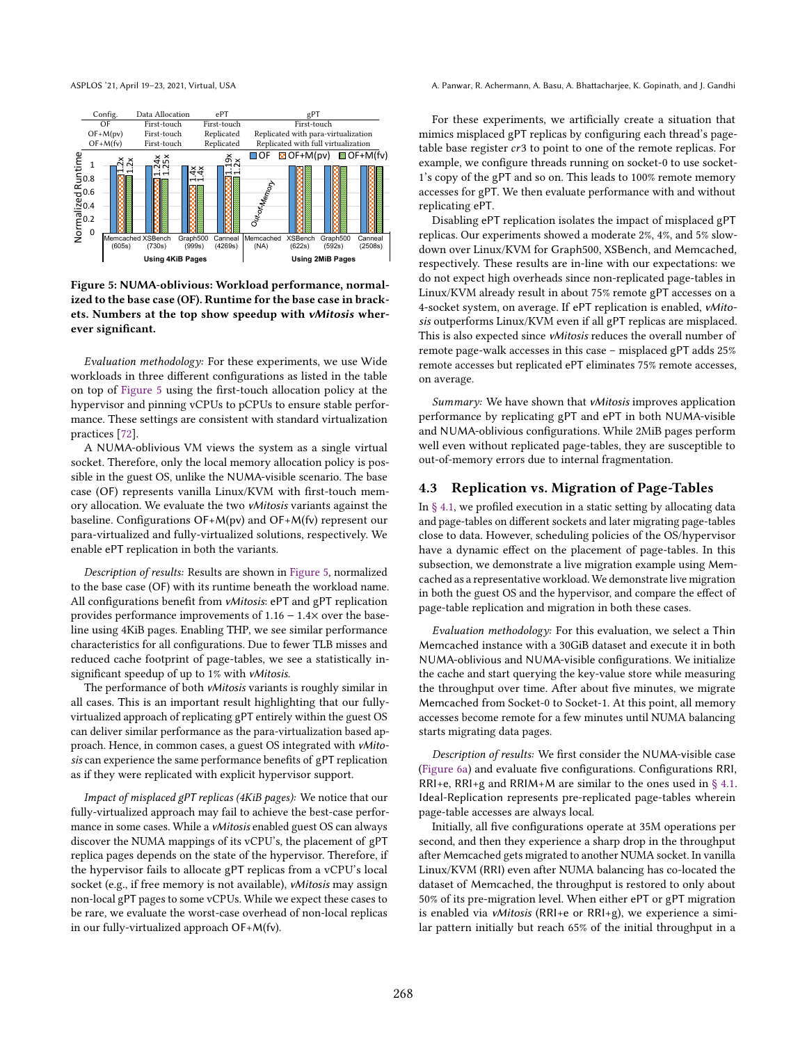<span id="page-9-1"></span>

Figure 5: NUMA-oblivious: Workload performance, normalized to the base case (OF). Runtime for the base case in brackets. Numbers at the top show speedup with vMitosis wherever significant.

Evaluation methodology: For these experiments, we use Wide workloads in three different configurations as listed in the table on top of [Figure 5](#page-9-1) using the first-touch allocation policy at the hypervisor and pinning vCPUs to pCPUs to ensure stable performance. These settings are consistent with standard virtualization practices [\[72\]](#page-16-5).

A NUMA-oblivious VM views the system as a single virtual socket. Therefore, only the local memory allocation policy is possible in the guest OS, unlike the NUMA-visible scenario. The base case (OF) represents vanilla Linux/KVM with first-touch memory allocation. We evaluate the two vMitosis variants against the baseline. Configurations OF+M(pv) and OF+M(fv) represent our para-virtualized and fully-virtualized solutions, respectively. We enable ePT replication in both the variants.

Description of results: Results are shown in [Figure 5,](#page-9-1) normalized to the base case (OF) with its runtime beneath the workload name. All configurations benefit from vMitosis: ePT and gPT replication provides performance improvements of 1.16 − 1.4× over the baseline using 4KiB pages. Enabling THP, we see similar performance characteristics for all configurations. Due to fewer TLB misses and reduced cache footprint of page-tables, we see a statistically insignificant speedup of up to 1% with vMitosis.

The performance of both *vMitosis* variants is roughly similar in all cases. This is an important result highlighting that our fullyvirtualized approach of replicating gPT entirely within the guest OS can deliver similar performance as the para-virtualization based approach. Hence, in common cases, a guest OS integrated with vMitosis can experience the same performance benefits of gPT replication as if they were replicated with explicit hypervisor support.

Impact of misplaced gPT replicas (4KiB pages): We notice that our fully-virtualized approach may fail to achieve the best-case performance in some cases. While a vMitosis enabled guest OS can always discover the NUMA mappings of its vCPU's, the placement of gPT replica pages depends on the state of the hypervisor. Therefore, if the hypervisor fails to allocate gPT replicas from a vCPU's local socket (e.g., if free memory is not available), vMitosis may assign non-local gPT pages to some vCPUs. While we expect these cases to be rare, we evaluate the worst-case overhead of non-local replicas in our fully-virtualized approach OF+M(fv).

ASPLOS '21, April 19-23, 2021, Virtual, USA A. Panwar, R. Achermann, A. Basu, A. Bhattacharjee, K. Gopinath, and J. Gandhi

For these experiments, we artificially create a situation that mimics misplaced gPT replicas by configuring each thread's pagetable base register  $cr3$  to point to one of the remote replicas. For example, we configure threads running on socket-0 to use socket-1's copy of the gPT and so on. This leads to 100% remote memory accesses for gPT. We then evaluate performance with and without replicating ePT.

Disabling ePT replication isolates the impact of misplaced gPT replicas. Our experiments showed a moderate 2%, 4%, and 5% slowdown over Linux/KVM for Graph500, XSBench, and Memcached, respectively. These results are in-line with our expectations: we do not expect high overheads since non-replicated page-tables in Linux/KVM already result in about 75% remote gPT accesses on a 4-socket system, on average. If ePT replication is enabled, vMitosis outperforms Linux/KVM even if all gPT replicas are misplaced. This is also expected since vMitosis reduces the overall number of remote page-walk accesses in this case  $-$  misplaced gPT adds 25% remote accesses but replicated ePT eliminates 75% remote accesses, on average.

Summary: We have shown that vMitosis improves application performance by replicating gPT and ePT in both NUMA-visible and NUMA-oblivious configurations. While 2MiB pages perform well even without replicated page-tables, they are susceptible to out-of-memory errors due to internal fragmentation.

## <span id="page-9-0"></span>4.3 Replication vs. Migration of Page-Tables

In [ğ 4.1,](#page-7-1) we profiled execution in a static setting by allocating data and page-tables on different sockets and later migrating page-tables close to data. However, scheduling policies of the OS/hypervisor have a dynamic effect on the placement of page-tables. In this subsection, we demonstrate a live migration example using Memcached as a representative workload. We demonstrate live migration in both the guest OS and the hypervisor, and compare the effect of page-table replication and migration in both these cases.

Evaluation methodology: For this evaluation, we select a Thin Memcached instance with a 30GiB dataset and execute it in both NUMA-oblivious and NUMA-visible configurations. We initialize the cache and start querying the key-value store while measuring the throughput over time. After about five minutes, we migrate Memcached from Socket-0 to Socket-1. At this point, all memory accesses become remote for a few minutes until NUMA balancing starts migrating data pages.

Description of results: We first consider the NUMA-visible case [\(Figure 6a\)](#page-10-0) and evaluate five configurations. Configurations RRI, RRI+e, RRI+g and RRIM+M are similar to the ones used in  $\S$  4.1. Ideal-Replication represents pre-replicated page-tables wherein page-table accesses are always local.

Initially, all five configurations operate at 35M operations per second, and then they experience a sharp drop in the throughput after Memcached gets migrated to another NUMA socket. In vanilla Linux/KVM (RRI) even after NUMA balancing has co-located the dataset of Memcached, the throughput is restored to only about 50% of its pre-migration level. When either ePT or gPT migration is enabled via vMitosis (RRI+e or RRI+g), we experience a similar pattern initially but reach 65% of the initial throughput in a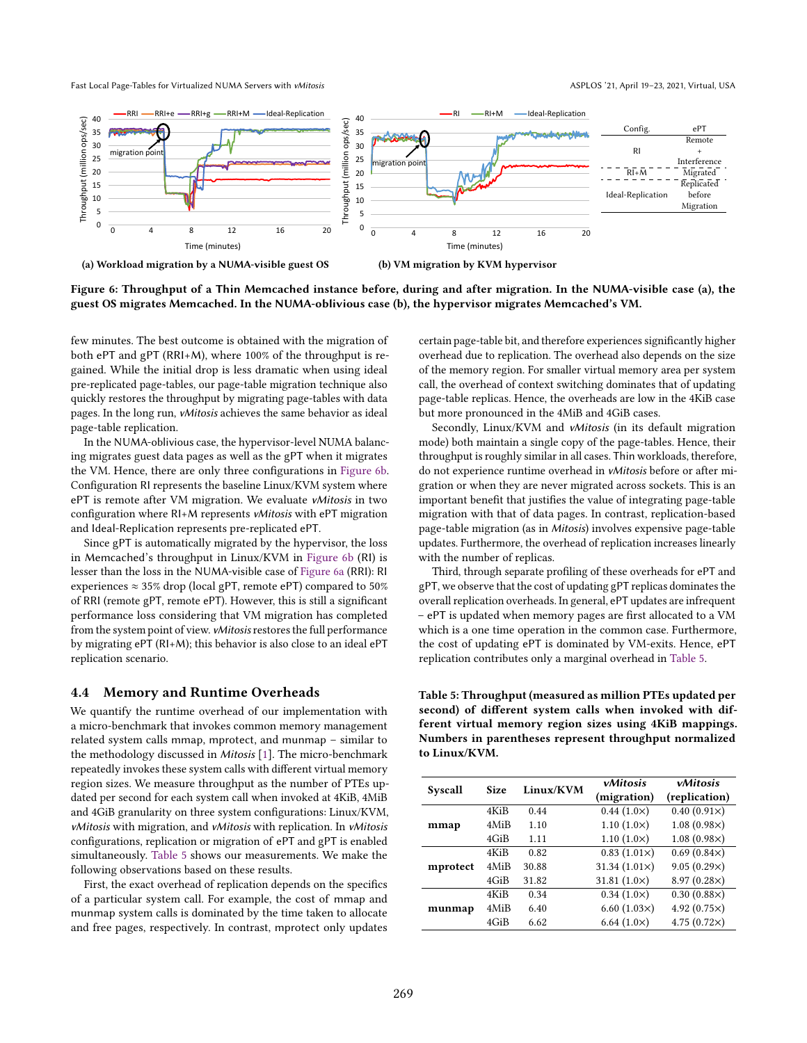<span id="page-10-0"></span>

Figure 6: Throughput of a Thin Memcached instance before, during and after migration. In the NUMA-visible case (a), the guest OS migrates Memcached. In the NUMA-oblivious case (b), the hypervisor migrates Memcached's VM.

few minutes. The best outcome is obtained with the migration of both ePT and gPT (RRI+M), where 100% of the throughput is regained. While the initial drop is less dramatic when using ideal pre-replicated page-tables, our page-table migration technique also quickly restores the throughput by migrating page-tables with data pages. In the long run, vMitosis achieves the same behavior as ideal page-table replication.

In the NUMA-oblivious case, the hypervisor-level NUMA balancing migrates guest data pages as well as the gPT when it migrates the VM. Hence, there are only three configurations in [Figure 6b.](#page-10-0) Configuration RI represents the baseline Linux/KVM system where ePT is remote after VM migration. We evaluate vMitosis in two configuration where RI+M represents vMitosis with ePT migration and Ideal-Replication represents pre-replicated ePT.

Since gPT is automatically migrated by the hypervisor, the loss in Memcached's throughput in Linux/KVM in [Figure 6b](#page-10-0) (RI) is lesser than the loss in the NUMA-visible case of [Figure 6a](#page-10-0) (RRI): RI experiences  $\approx 35\%$  drop (local gPT, remote ePT) compared to 50% of RRI (remote gPT, remote ePT). However, this is still a significant performance loss considering that VM migration has completed from the system point of view. vMitosis restores the full performance by migrating ePT (RI+M); this behavior is also close to an ideal ePT replication scenario.

#### 4.4 Memory and Runtime Overheads

We quantify the runtime overhead of our implementation with a micro-benchmark that invokes common memory management related system calls mmap, mprotect, and munmap  $-$  similar to the methodology discussed in Mitosis [\[1\]](#page-14-6). The micro-benchmark repeatedly invokes these system calls with different virtual memory region sizes. We measure throughput as the number of PTEs updated per second for each system call when invoked at 4KiB, 4MiB and 4GiB granularity on three system configurations: Linux/KVM, vMitosis with migration, and vMitosis with replication. In vMitosis configurations, replication or migration of ePT and gPT is enabled simultaneously. [Table 5](#page-10-1) shows our measurements. We make the following observations based on these results.

First, the exact overhead of replication depends on the specifics of a particular system call. For example, the cost of mmap and munmap system calls is dominated by the time taken to allocate and free pages, respectively. In contrast, mprotect only updates certain page-table bit, and therefore experiences significantly higher overhead due to replication. The overhead also depends on the size of the memory region. For smaller virtual memory area per system call, the overhead of context switching dominates that of updating page-table replicas. Hence, the overheads are low in the 4KiB case but more pronounced in the 4MiB and 4GiB cases.

Secondly, Linux/KVM and vMitosis (in its default migration mode) both maintain a single copy of the page-tables. Hence, their throughput is roughly similar in all cases. Thin workloads, therefore, do not experience runtime overhead in vMitosis before or after migration or when they are never migrated across sockets. This is an important benefit that justifies the value of integrating page-table migration with that of data pages. In contrast, replication-based page-table migration (as in Mitosis) involves expensive page-table updates. Furthermore, the overhead of replication increases linearly with the number of replicas.

Third, through separate profiling of these overheads for ePT and gPT, we observe that the cost of updating gPT replicas dominates the overall replication overheads. In general, ePT updates are infrequent - ePT is updated when memory pages are first allocated to a VM which is a one time operation in the common case. Furthermore, the cost of updating ePT is dominated by VM-exits. Hence, ePT replication contributes only a marginal overhead in [Table 5.](#page-10-1)

<span id="page-10-1"></span>Table 5: Throughput (measured as million PTEs updated per second) of different system calls when invoked with different virtual memory region sizes using 4KiB mappings. Numbers in parentheses represent throughput normalized to Linux/KVM.

| Syscall  | <b>Size</b> | Linux/KVM | vMitosis<br>(migration) | vMitosis<br>(replication) |  |
|----------|-------------|-----------|-------------------------|---------------------------|--|
|          | 4KiB        | 0.44      | $0.44(1.0\times)$       | $0.40(0.91\times)$        |  |
| mmap     | 4MiB        | 1.10      | $1.10(1.0\times)$       | $1.08(0.98\times)$        |  |
|          | 4GiB        | 1.11      | $1.10(1.0\times)$       | $1.08(0.98\times)$        |  |
|          | 4KiB        | 0.82      | $0.83(1.01\times)$      | $0.69(0.84\times)$        |  |
| mprotect | 4MiB        | 30.88     | 31.34 $(1.01\times)$    | 9.05(0.29x)               |  |
|          | 4GiB        | 31.82     | 31.81 $(1.0x)$          | $8.97(0.28\times)$        |  |
|          | 4KiB        | 0.34      | $0.34(1.0\times)$       | $0.30(0.88\times)$        |  |
| munmap   | 4MiB        | 6.40      | $6.60(1.03\times)$      | 4.92 $(0.75\times)$       |  |
|          | 4GiB        | 6.62      | $6.64(1.0\times)$       | $4.75(0.72\times)$        |  |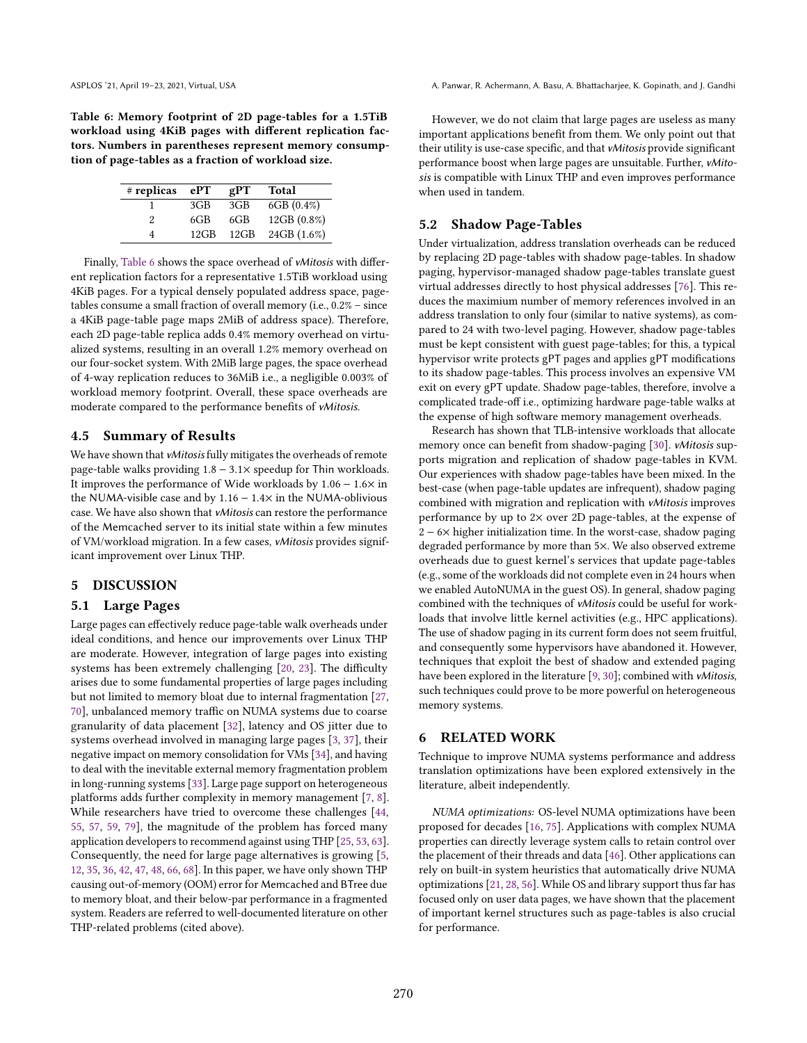<span id="page-11-1"></span>Table 6: Memory footprint of 2D page-tables for a 1.5TiB workload using 4KiB pages with different replication factors. Numbers in parentheses represent memory consumption of page-tables as a fraction of workload size.

| # replicas | ePT     | gPT  | <b>Total</b> |
|------------|---------|------|--------------|
|            | 3GB     | 3GB  | $6GB(0.4\%)$ |
| 2          | 6GB     | 6GB  | 12GB (0.8%)  |
|            | $12$ GB | 12GB | 24GB (1.6%)  |

Finally, [Table 6](#page-11-1) shows the space overhead of vMitosis with different replication factors for a representative 1.5TiB workload using 4KiB pages. For a typical densely populated address space, pagetables consume a small fraction of overall memory (i.e.,  $0.2\%$  – since a 4KiB page-table page maps 2MiB of address space). Therefore, each 2D page-table replica adds 0.4% memory overhead on virtualized systems, resulting in an overall 1.2% memory overhead on our four-socket system. With 2MiB large pages, the space overhead of 4-way replication reduces to 36MiB i.e., a negligible 0.003% of workload memory footprint. Overall, these space overheads are moderate compared to the performance benefits of vMitosis.

## 4.5 Summary of Results

We have shown that *vMitosis* fully mitigates the overheads of remote page-table walks providing 1.8 − 3.1× speedup for Thin workloads. It improves the performance of Wide workloads by 1.06 − 1.6× in the NUMA-visible case and by  $1.16 - 1.4 \times$  in the NUMA-oblivious case. We have also shown that vMitosis can restore the performance of the Memcached server to its initial state within a few minutes of VM/workload migration. In a few cases, vMitosis provides significant improvement over Linux THP.

## <span id="page-11-0"></span>5 DISCUSSION

## 5.1 Large Pages

Large pages can effectively reduce page-table walk overheads under ideal conditions, and hence our improvements over Linux THP are moderate. However, integration of large pages into existing systems has been extremely challenging [\[20,](#page-14-12) [23\]](#page-14-13). The difficulty arises due to some fundamental properties of large pages including but not limited to memory bloat due to internal fragmentation [\[27,](#page-14-14) [70\]](#page-15-21), unbalanced memory traffic on NUMA systems due to coarse granularity of data placement [\[32\]](#page-15-22), latency and OS jitter due to systems overhead involved in managing large pages [\[3,](#page-14-15) [37\]](#page-15-23), their negative impact on memory consolidation for VMs [\[34\]](#page-15-24), and having to deal with the inevitable external memory fragmentation problem in long-running systems [\[33\]](#page-15-3). Large page support on heterogeneous platforms adds further complexity in memory management [\[7,](#page-14-16) [8\]](#page-14-17). While researchers have tried to overcome these challenges [\[44,](#page-15-7) [55,](#page-15-25) [57,](#page-15-26) [59,](#page-15-5) [79\]](#page-16-6), the magnitude of the problem has forced many application developers to recommend against using THP [\[25,](#page-14-18) [53,](#page-15-27) [63\]](#page-15-28). Consequently, the need for large page alternatives is growing [\[5,](#page-14-19) [12,](#page-14-20) [35,](#page-15-29) [36,](#page-15-30) [42,](#page-15-31) [47,](#page-15-32) [48,](#page-15-33) [66,](#page-15-34) [68\]](#page-15-35). In this paper, we have only shown THP causing out-of-memory (OOM) error for Memcached and BTree due to memory bloat, and their below-par performance in a fragmented system. Readers are referred to well-documented literature on other THP-related problems (cited above).

However, we do not claim that large pages are useless as many important applications benefit from them. We only point out that their utility is use-case specific, and that vMitosis provide significant performance boost when large pages are unsuitable. Further, vMitosis is compatible with Linux THP and even improves performance when used in tandem.

## 5.2 Shadow Page-Tables

Under virtualization, address translation overheads can be reduced by replacing 2D page-tables with shadow page-tables. In shadow paging, hypervisor-managed shadow page-tables translate guest virtual addresses directly to host physical addresses [\[76\]](#page-16-7). This reduces the maximium number of memory references involved in an address translation to only four (similar to native systems), as compared to 24 with two-level paging. However, shadow page-tables must be kept consistent with guest page-tables; for this, a typical hypervisor write protects gPT pages and applies gPT modifications to its shadow page-tables. This process involves an expensive VM exit on every gPT update. Shadow page-tables, therefore, involve a complicated trade-off i.e., optimizing hardware page-table walks at the expense of high software memory management overheads.

Research has shown that TLB-intensive workloads that allocate memory once can benefit from shadow-paging [\[30\]](#page-15-6). vMitosis supports migration and replication of shadow page-tables in KVM. Our experiences with shadow page-tables have been mixed. In the best-case (when page-table updates are infrequent), shadow paging combined with migration and replication with vMitosis improves performance by up to 2× over 2D page-tables, at the expense of 2 − 6× higher initialization time. In the worst-case, shadow paging degraded performance by more than 5×. We also observed extreme overheads due to guest kernel's services that update page-tables (e.g., some of the workloads did not complete even in 24 hours when we enabled AutoNUMA in the guest OS). In general, shadow paging combined with the techniques of vMitosis could be useful for workloads that involve little kernel activities (e.g., HPC applications). The use of shadow paging in its current form does not seem fruitful, and consequently some hypervisors have abandoned it. However, techniques that exploit the best of shadow and extended paging have been explored in the literature [\[9,](#page-14-21) [30\]](#page-15-6); combined with *vMitosis*, such techniques could prove to be more powerful on heterogeneous memory systems.

## 6 RELATED WORK

Technique to improve NUMA systems performance and address translation optimizations have been explored extensively in the literature, albeit independently.

NUMA optimizations: OS-level NUMA optimizations have been proposed for decades [\[16,](#page-14-22) [75\]](#page-16-8). Applications with complex NUMA properties can directly leverage system calls to retain control over the placement of their threads and data [\[46\]](#page-15-36). Other applications can rely on built-in system heuristics that automatically drive NUMA optimizations [\[21,](#page-14-9) [28,](#page-14-23) [56\]](#page-15-37). While OS and library support thus far has focused only on user data pages, we have shown that the placement of important kernel structures such as page-tables is also crucial for performance.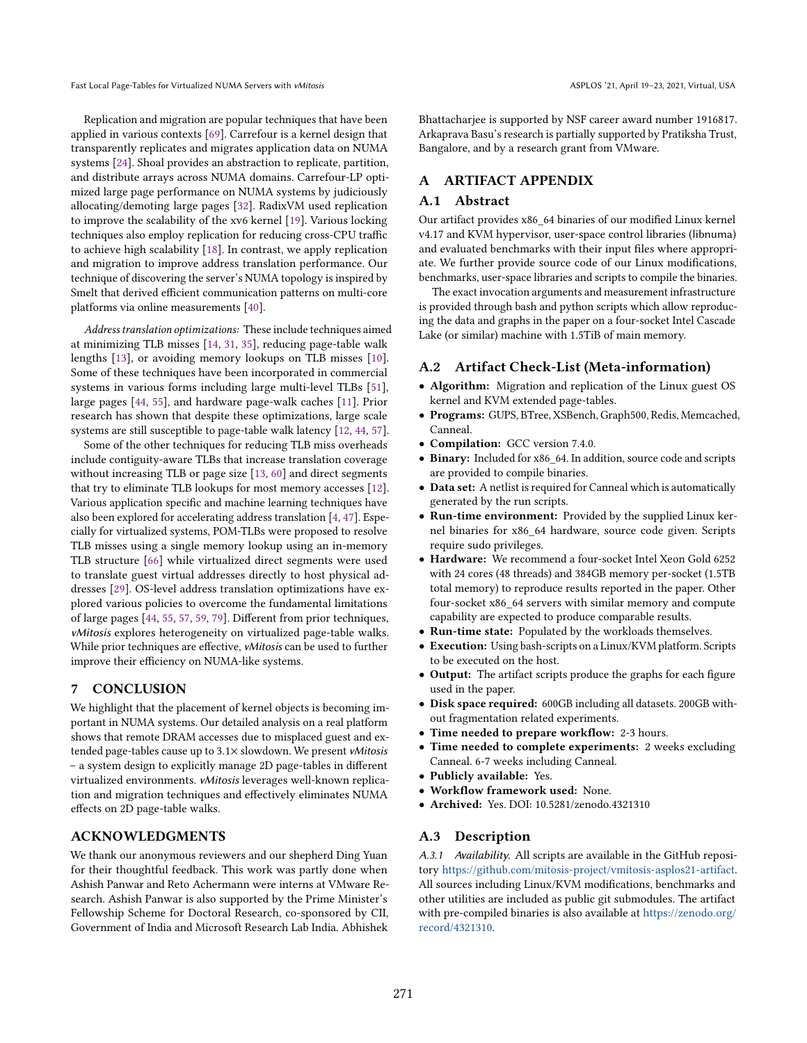Replication and migration are popular techniques that have been applied in various contexts [\[69\]](#page-15-38). Carrefour is a kernel design that transparently replicates and migrates application data on NUMA systems [\[24\]](#page-14-2). Shoal provides an abstraction to replicate, partition, and distribute arrays across NUMA domains. Carrefour-LP optimized large page performance on NUMA systems by judiciously allocating/demoting large pages [\[32\]](#page-15-22). RadixVM used replication to improve the scalability of the xv6 kernel [\[19\]](#page-14-24). Various locking techniques also employ replication for reducing cross-CPU traffic to achieve high scalability [\[18\]](#page-14-1). In contrast, we apply replication and migration to improve address translation performance. Our

Address translation optimizations: These include techniques aimed at minimizing TLB misses [\[14,](#page-14-4) [31,](#page-15-39) [35\]](#page-15-29), reducing page-table walk lengths [\[13\]](#page-14-25), or avoiding memory lookups on TLB misses [\[10\]](#page-14-26). Some of these techniques have been incorporated in commercial systems in various forms including large multi-level TLBs [\[51\]](#page-15-40), large pages [\[44,](#page-15-7) [55\]](#page-15-25), and hardware page-walk caches [\[11\]](#page-14-27). Prior research has shown that despite these optimizations, large scale systems are still susceptible to page-table walk latency [\[12,](#page-14-20) [44,](#page-15-7) [57\]](#page-15-26).

technique of discovering the server's NUMA topology is inspired by Smelt that derived efficient communication patterns on multi-core

platforms via online measurements [\[40\]](#page-15-20).

Some of the other techniques for reducing TLB miss overheads include contiguity-aware TLBs that increase translation coverage without increasing TLB or page size [\[13,](#page-14-25) [60\]](#page-15-41) and direct segments that try to eliminate TLB lookups for most memory accesses [\[12\]](#page-14-20). Various application specific and machine learning techniques have also been explored for accelerating address translation [\[4,](#page-14-3) [47\]](#page-15-32). Especially for virtualized systems, POM-TLBs were proposed to resolve TLB misses using a single memory lookup using an in-memory TLB structure [\[66\]](#page-15-34) while virtualized direct segments were used to translate guest virtual addresses directly to host physical addresses [\[29\]](#page-15-42). OS-level address translation optimizations have explored various policies to overcome the fundamental limitations of large pages [\[44,](#page-15-7) [55,](#page-15-25) [57,](#page-15-26) [59,](#page-15-5) [79\]](#page-16-6). Different from prior techniques, vMitosis explores heterogeneity on virtualized page-table walks. While prior techniques are effective, vMitosis can be used to further improve their efficiency on NUMA-like systems.

## 7 CONCLUSION

We highlight that the placement of kernel objects is becoming important in NUMA systems. Our detailed analysis on a real platform shows that remote DRAM accesses due to misplaced guest and extended page-tables cause up to 3.1× slowdown. We present vMitosis - a system design to explicitly manage 2D page-tables in different virtualized environments. vMitosis leverages well-known replication and migration techniques and effectively eliminates NUMA effects on 2D page-table walks.

#### ACKNOWLEDGMENTS

We thank our anonymous reviewers and our shepherd Ding Yuan for their thoughtful feedback. This work was partly done when Ashish Panwar and Reto Achermann were interns at VMware Research. Ashish Panwar is also supported by the Prime Minister's Fellowship Scheme for Doctoral Research, co-sponsored by CII, Government of India and Microsoft Research Lab India. Abhishek

Bhattacharjee is supported by NSF career award number 1916817. Arkaprava Basu's research is partially supported by Pratiksha Trust, Bangalore, and by a research grant from VMware.

## A ARTIFACT APPENDIX

## A.1 Abstract

Our artifact provides x86\_64 binaries of our modified Linux kernel v4.17 and KVM hypervisor, user-space control libraries (libnuma) and evaluated benchmarks with their input files where appropriate. We further provide source code of our Linux modifications, benchmarks, user-space libraries and scripts to compile the binaries.

The exact invocation arguments and measurement infrastructure is provided through bash and python scripts which allow reproducing the data and graphs in the paper on a four-socket Intel Cascade Lake (or similar) machine with 1.5TiB of main memory.

#### A.2 Artifact Check-List (Meta-information)

- Algorithm: Migration and replication of the Linux guest OS kernel and KVM extended page-tables.
- Programs: GUPS, BTree, XSBench, Graph500, Redis, Memcached, Canneal.
- Compilation: GCC version 7.4.0.
- Binary: Included for x86\_64. In addition, source code and scripts are provided to compile binaries.
- Data set: A netlist is required for Canneal which is automatically generated by the run scripts.
- Run-time environment: Provided by the supplied Linux kernel binaries for x86\_64 hardware, source code given. Scripts require sudo privileges.
- Hardware: We recommend a four-socket Intel Xeon Gold 6252 with 24 cores (48 threads) and 384GB memory per-socket (1.5TB total memory) to reproduce results reported in the paper. Other four-socket x86\_64 servers with similar memory and compute capability are expected to produce comparable results.
- Run-time state: Populated by the workloads themselves.
- Execution: Using bash-scripts on a Linux/KVM platform. Scripts to be executed on the host.
- Output: The artifact scripts produce the graphs for each figure used in the paper.
- Disk space required: 600GB including all datasets. 200GB without fragmentation related experiments.
- Time needed to prepare workflow: 2-3 hours.
- Time needed to complete experiments: 2 weeks excluding Canneal. 6-7 weeks including Canneal.
- Publicly available: Yes.
- Workflow framework used: None.
- Archived: Yes. DOI: 10.5281/zenodo.4321310

#### A.3 Description

A.3.1 Availability. All scripts are available in the GitHub repository https://github.[com/mitosis-project/vmitosis-asplos21-artifact.](https://github.com/mitosis-project/vmitosis-asplos21-artifact) All sources including Linux/KVM modifications, benchmarks and other utilities are included as public git submodules. The artifact with pre-compiled binaries is also available at [https://zenodo](https://zenodo.org/record/4321310).org/ [record/4321310.](https://zenodo.org/record/4321310)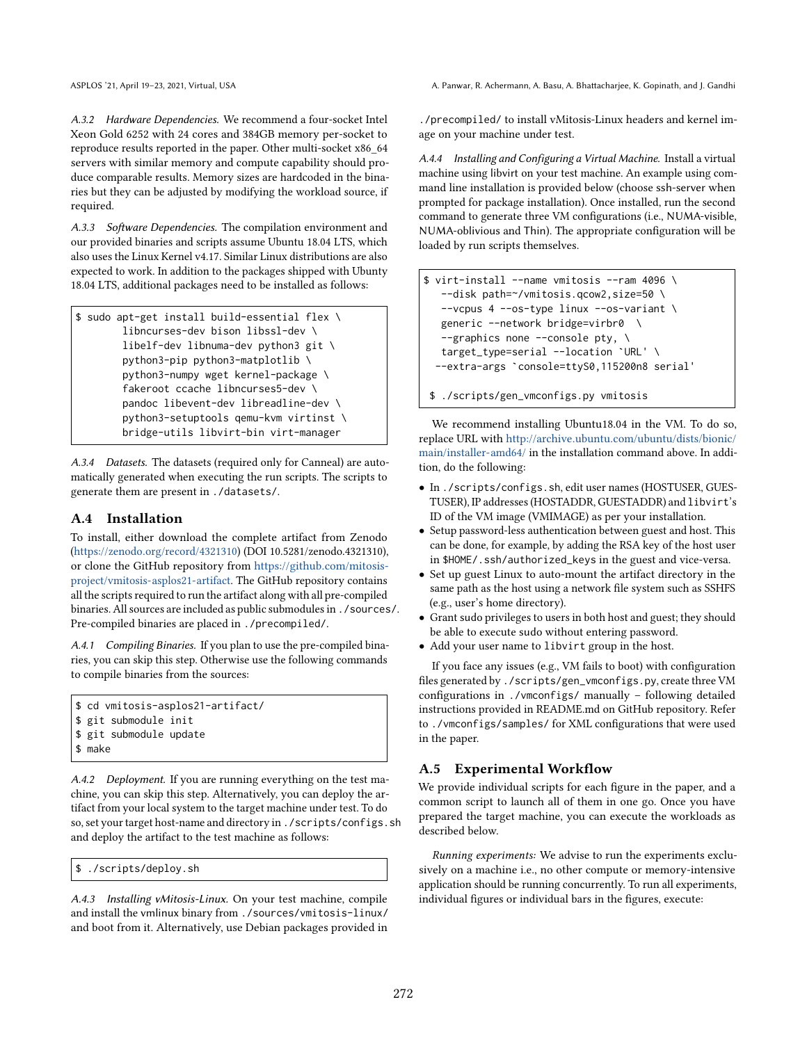A.3.2 Hardware Dependencies. We recommend a four-socket Intel Xeon Gold 6252 with 24 cores and 384GB memory per-socket to reproduce results reported in the paper. Other multi-socket x86\_64 servers with similar memory and compute capability should produce comparable results. Memory sizes are hardcoded in the binaries but they can be adjusted by modifying the workload source, if required.

A.3.3 Software Dependencies. The compilation environment and our provided binaries and scripts assume Ubuntu 18.04 LTS, which also uses the Linux Kernel v4.17. Similar Linux distributions are also expected to work. In addition to the packages shipped with Ubunty 18.04 LTS, additional packages need to be installed as follows:

```
$ sudo apt-get install build-essential flex \
       libncurses-dev bison libssl-dev \
       libelf-dev libnuma-dev python3 git \
        python3-pip python3-matplotlib \
        python3-numpy wget kernel-package \
        fakeroot ccache libncurses5-dev \
        pandoc libevent-dev libreadline-dev \
        python3-setuptools qemu-kvm virtinst \
        bridge-utils libvirt-bin virt-manager
```
A.3.4 Datasets. The datasets (required only for Canneal) are automatically generated when executing the run scripts. The scripts to generate them are present in ./datasets/.

## A.4 Installation

To install, either download the complete artifact from Zenodo (https://zenodo.[org/record/4321310\)](https://zenodo.org/record/4321310) (DOI 10.5281/zenodo.4321310), or clone the GitHub repository from [https://github](https://github.com/mitosis-project/vmitosis-asplos21-artifact).com/mitosis[project/vmitosis-asplos21-artifact.](https://github.com/mitosis-project/vmitosis-asplos21-artifact) The GitHub repository contains all the scripts required to run the artifact along with all pre-compiled binaries. All sources are included as public submodules in ./sources/. Pre-compiled binaries are placed in ./precompiled/.

A.4.1 Compiling Binaries. If you plan to use the pre-compiled binaries, you can skip this step. Otherwise use the following commands to compile binaries from the sources:

```
$ cd vmitosis-asplos21-artifact/
$ git submodule init
$ git submodule update
$ make
```
A.4.2 Deployment. If you are running everything on the test machine, you can skip this step. Alternatively, you can deploy the artifact from your local system to the target machine under test. To do so, set your target host-name and directory in ./scripts/configs.sh and deploy the artifact to the test machine as follows:

\$ ./scripts/deploy.sh

A.4.3 Installing vMitosis-Linux. On your test machine, compile and install the vmlinux binary from ./sources/vmitosis-linux/ and boot from it. Alternatively, use Debian packages provided in

ASPLOS '21, April 19-23, 2021, Virtual, USA A. Panwar, R. Achermann, A. Basu, A. Bhattacharjee, K. Gopinath, and J. Gandhi

./precompiled/ to install vMitosis-Linux headers and kernel image on your machine under test.

A.4.4 Installing and Configuring a Virtual Machine. Install a virtual machine using libvirt on your test machine. An example using command line installation is provided below (choose ssh-server when prompted for package installation). Once installed, run the second command to generate three VM configurations (i.e., NUMA-visible, NUMA-oblivious and Thin). The appropriate configuration will be loaded by run scripts themselves.

```
$ virt-install --name vmitosis --ram 4096 \
   --disk path=~/vmitosis.qcow2,size=50 \
   --vcpus 4 --os-type linux --os-variant \
   generic --network bridge=virbr0 \
   -graphics none -console pty, \
   target_type=serial --location `URL' \
  --extra-args `console=ttyS0,115200n8 serial'
```

```
$ ./scripts/gen_vmconfigs.py vmitosis
```
We recommend installing Ubuntu18.04 in the VM. To do so, replace URL with http://archive.ubuntu.[com/ubuntu/dists/bionic/]( http://archive.ubuntu.com/ubuntu/dists/bionic/main/installer-amd64/) [main/installer-amd64/]( http://archive.ubuntu.com/ubuntu/dists/bionic/main/installer-amd64/) in the installation command above. In addition, do the following:

- In ./scripts/configs.sh, edit user names (HOSTUSER, GUES-TUSER), IP addresses (HOSTADDR, GUESTADDR) and libvirt's ID of the VM image (VMIMAGE) as per your installation.
- Setup password-less authentication between guest and host. This can be done, for example, by adding the RSA key of the host user in \$HOME/.ssh/authorized\_keys in the guest and vice-versa.
- Set up guest Linux to auto-mount the artifact directory in the same path as the host using a network file system such as SSHFS (e.g., user's home directory).
- Grant sudo privileges to users in both host and guest; they should be able to execute sudo without entering password.
- Add your user name to libvirt group in the host.

If you face any issues (e.g., VM fails to boot) with configuration files generated by ./scripts/gen\_vmconfigs.py, create three VM configurations in ./vmconfigs/ manually  $-$  following detailed instructions provided in README.md on GitHub repository. Refer to ./vmconfigs/samples/ for XML configurations that were used in the paper.

# A.5 Experimental Workflow

We provide individual scripts for each figure in the paper, and a common script to launch all of them in one go. Once you have prepared the target machine, you can execute the workloads as described below.

Running experiments: We advise to run the experiments exclusively on a machine i.e., no other compute or memory-intensive application should be running concurrently. To run all experiments, individual figures or individual bars in the figures, execute: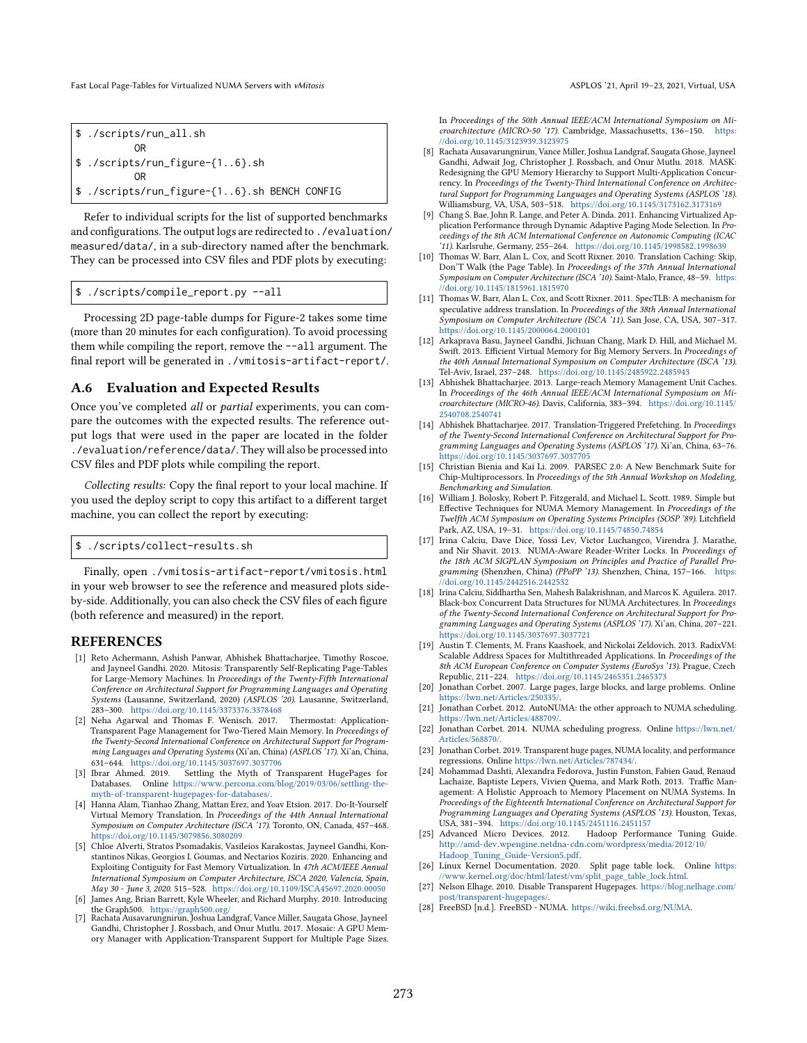\$ ./scripts/run\_all.sh OR \$ ./scripts/run\_figure-{1..6}.sh OR \$ ./scripts/run\_figure-{1..6}.sh BENCH CONFIG

Refer to individual scripts for the list of supported benchmarks and configurations. The output logs are redirected to ./evaluation/ measured/data/, in a sub-directory named after the benchmark. They can be processed into CSV files and PDF plots by executing:

```
$ ./scripts/compile_report.py --all
```
Processing 2D page-table dumps for Figure-2 takes some time (more than 20 minutes for each configuration). To avoid processing them while compiling the report, remove the --all argument. The final report will be generated in ./vmitosis-artifact-report/.

#### A.6 Evaluation and Expected Results

Once you've completed all or partial experiments, you can compare the outcomes with the expected results. The reference output logs that were used in the paper are located in the folder ./evaluation/reference/data/. They will also be processed into CSV files and PDF plots while compiling the report.

Collecting results: Copy the final report to your local machine. If you used the deploy script to copy this artifact to a different target machine, you can collect the report by executing:

\$ ./scripts/collect-results.sh

Finally, open ./vmitosis-artifact-report/vmitosis.html in your web browser to see the reference and measured plots sideby-side. Additionally, you can also check the CSV files of each figure (both reference and measured) in the report.

#### REFERENCES

- <span id="page-14-6"></span>[1] Reto Achermann, Ashish Panwar, Abhishek Bhattacharjee, Timothy Roscoe, and Jayneel Gandhi. 2020. Mitosis: Transparently Self-Replicating Page-Tables for Large-Memory Machines. In Proceedings of the Twenty-Fifth International Conference on Architectural Support for Programming Languages and Operating Systems (Lausanne, Switzerland, 2020) (ASPLOS '20). Lausanne, Switzerland, 283-300. https://doi.org/10.[1145/3373376](https://doi.org/10.1145/3373376.3378468).3378468
- <span id="page-14-0"></span>[2] Neha Agarwal and Thomas F. Wenisch. 2017. Thermostat: Application-Transparent Page Management for Two-Tiered Main Memory. In Proceedings of the Twenty-Second International Conference on Architectural Support for Programming Languages and Operating Systems (Xi'an, China) (ASPLOS '17). Xi'an, China, 631-644. https://doi.org/10.[1145/3037697](https://doi.org/10.1145/3037697.3037706).3037706
- <span id="page-14-15"></span>[3] Ibrar Ahmed. 2019. Settling the Myth of Transparent HugePages for Databases. Online https://www.percona.[com/blog/2019/03/06/settling-the](https://www.percona.com/blog/2019/03/06/settling-the-myth-of-transparent-hugepages-for-databases/)[myth-of-transparent-hugepages-for-databases/.](https://www.percona.com/blog/2019/03/06/settling-the-myth-of-transparent-hugepages-for-databases/)
- <span id="page-14-3"></span>[4] Hanna Alam, Tianhao Zhang, Mattan Erez, and Yoav Etsion. 2017. Do-It-Yourself Virtual Memory Translation. In Proceedings of the 44th Annual International Symposium on Computer Architecture (ISCA '17). Toronto, ON, Canada, 457-468. https://doi.org/10.[1145/3079856](https://doi.org/10.1145/3079856.3080209).3080209
- <span id="page-14-19"></span>[5] Chloe Alverti, Stratos Psomadakis, Vasileios Karakostas, Jayneel Gandhi, Konstantinos Nikas, Georgios I. Goumas, and Nectarios Koziris. 2020. Enhancing and Exploiting Contiguity for Fast Memory Virtualization. In 47th ACM/IEEE Annual International Symposium on Computer Architecture, ISCA 2020, Valencia, Spain, May 30 - June 3, 2020. 515-528. https://doi.org/10.[1109/ISCA45697](https://doi.org/10.1109/ISCA45697.2020.00050).2020.00050
- <span id="page-14-8"></span>[6] James Ang, Brian Barrett, Kyle Wheeler, and Richard Murphy. 2010. Introducing the Graph500. [https://graph500](https://graph500.org/).org/ [7] Rachata Ausavarungnirun, Joshua Landgraf, Vance Miller, Saugata Ghose, Jayneel
- <span id="page-14-16"></span>Gandhi, Christopher J. Rossbach, and Onur Mutlu. 2017. Mosaic: A GPU Memory Manager with Application-Transparent Support for Multiple Page Sizes.

In Proceedings of the 50th Annual IEEE/ACM International Symposium on Microarchitecture (MICRO-50 '17). Cambridge, Massachusetts, 136-150. [https:](https://doi.org/10.1145/3123939.3123975) //doi.org/10.[1145/3123939](https://doi.org/10.1145/3123939.3123975).3123975

- <span id="page-14-17"></span>[8] Rachata Ausavarungnirun, Vance Miller, Joshua Landgraf, Saugata Ghose, Jayneel Gandhi, Adwait Jog, Christopher J. Rossbach, and Onur Mutlu. 2018. MASK: Redesigning the GPU Memory Hierarchy to Support Multi-Application Concurrency. In Proceedings of the Twenty-Third International Conference on Architectural Support for Programming Languages and Operating Systems (ASPLOS '18). Williamsburg, VA, USA, 503-518. https://doi.org/10.[1145/3173162](https://doi.org/10.1145/3173162.3173169).3173169
- <span id="page-14-21"></span>[9] Chang S. Bae, John R. Lange, and Peter A. Dinda. 2011. Enhancing Virtualized Application Performance through Dynamic Adaptive Paging Mode Selection. In Proceedings of the 8th ACM International Conference on Autonomic Computing (ICAC '11). Karlsruhe, Germany, 255-264. https://doi.org/10.[1145/1998582](https://doi.org/10.1145/1998582.1998639).1998639
- <span id="page-14-26"></span>[10] Thomas W. Barr, Alan L. Cox, and Scott Rixner. 2010. Translation Caching: Skip, Don'T Walk (the Page Table). In Proceedings of the 37th Annual International Symposium on Computer Architecture (ISCA '10). Saint-Malo, France, 48-59. [https:](https://doi.org/10.1145/1815961.1815970) //doi.org/10.[1145/1815961](https://doi.org/10.1145/1815961.1815970).1815970
- <span id="page-14-27"></span>[11] Thomas W. Barr, Alan L. Cox, and Scott Rixner. 2011. SpecTLB: A mechanism for speculative address translation. In Proceedings of the 38th Annual International Symposium on Computer Architecture (ISCA '11). San Jose, CA, USA, 307-317. https://doi.org/10.[1145/2000064](https://doi.org/10.1145/2000064.2000101).2000101
- <span id="page-14-20"></span>[12] Arkaprava Basu, Jayneel Gandhi, Jichuan Chang, Mark D. Hill, and Michael M. Swift. 2013. Efficient Virtual Memory for Big Memory Servers. In Proceedings of the 40th Annual International Symposium on Computer Architecture (ISCA '13). Tel-Aviv, Israel, 237-248. https://doi.org/10.[1145/2485922](https://doi.org/10.1145/2485922.2485943).2485943
- <span id="page-14-25"></span>[13] Abhishek Bhattacharjee. 2013. Large-reach Memory Management Unit Caches. In Proceedings of the 46th Annual IEEE/ACM International Symposium on Microarchitecture (MICRO-46). Davis, California, 383-394. [https://doi](https://doi.org/10.1145/2540708.2540741).org/10.1145/ [2540708](https://doi.org/10.1145/2540708.2540741).2540741
- <span id="page-14-4"></span>[14] Abhishek Bhattacharjee. 2017. Translation-Triggered Prefetching. In Proceedings of the Twenty-Second International Conference on Architectural Support for Programming Languages and Operating Systems (ASPLOS '17). Xi'an, China, 63-76. https://doi.org/10.[1145/3037697](https://doi.org/10.1145/3037697.3037705).3037705
- <span id="page-14-7"></span>[15] Christian Bienia and Kai Li. 2009. PARSEC 2.0: A New Benchmark Suite for Chip-Multiprocessors. In Proceedings of the 5th Annual Workshop on Modeling, Benchmarking and Simulation.
- <span id="page-14-22"></span>[16] William J. Bolosky, Robert P. Fitzgerald, and Michael L. Scott. 1989. Simple but Effective Techniques for NUMA Memory Management. In Proceedings of the Twelfth ACM Symposium on Operating Systems Principles (SOSP '89). Litchfield Park, AZ, USA, 19-31. https://doi.org/10.[1145/74850](https://doi.org/10.1145/74850.74854).74854
- <span id="page-14-11"></span>[17] Irina Calciu, Dave Dice, Yossi Lev, Victor Luchangco, Virendra J. Marathe, and Nir Shavit. 2013. NUMA-Aware Reader-Writer Locks. In Proceedings of the 18th ACM SIGPLAN Symposium on Principles and Practice of Parallel Programming (Shenzhen, China) (PPoPP '13). Shenzhen, China, 157-166. [https:](https://doi.org/10.1145/2442516.2442532) //doi.org/10.[1145/2442516](https://doi.org/10.1145/2442516.2442532).2442532
- <span id="page-14-1"></span>[18] Irina Calciu, Siddhartha Sen, Mahesh Balakrishnan, and Marcos K. Aguilera. 2017. Black-box Concurrent Data Structures for NUMA Architectures. In Proceedings of the Twenty-Second International Conference on Architectural Support for Programming Languages and Operating Systems (ASPLOS '17). Xi'an, China, 207-221. https://doi.org/10.[1145/3037697](https://doi.org/10.1145/3037697.3037721).3037721
- <span id="page-14-24"></span>[19] Austin T. Clements, M. Frans Kaashoek, and Nickolai Zeldovich. 2013. RadixVM: Scalable Address Spaces for Multithreaded Applications. In Proceedings of the 8th ACM European Conference on Computer Systems (EuroSys '13). Prague, Czech Republic, 211-224. https://doi.org/10.[1145/2465351](https://doi.org/10.1145/2465351.2465373).2465373
- <span id="page-14-12"></span>[20] Jonathan Corbet. 2007. Large pages, large blocks, and large problems. Online https://lwn.[net/Articles/250335/.](https://lwn.net/Articles/250335/)
- <span id="page-14-9"></span>[21] Jonathan Corbet. 2012. AutoNUMA: the other approach to NUMA scheduling. https://lwn.[net/Articles/488709/.](https://lwn.net/Articles/488709/)
- <span id="page-14-5"></span>[22] Jonathan Corbet. 2014. NUMA scheduling progress. Online [https://lwn](https://lwn.net/Articles/568870/).net/ [Articles/568870/.](https://lwn.net/Articles/568870/)
- <span id="page-14-13"></span>[23] Jonathan Corbet. 2019. Transparent huge pages, NUMA locality, and performance regressions. Online https://lwn.[net/Articles/787434/.](https://lwn.net/Articles/787434/)
- <span id="page-14-2"></span>[24] Mohammad Dashti, Alexandra Fedorova, Justin Funston, Fabien Gaud, Renaud Lachaize, Baptiste Lepers, Vivien Quema, and Mark Roth. 2013. Traffic Management: A Holistic Approach to Memory Placement on NUMA Systems. In Proceedings of the Eighteenth International Conference on Architectural Support for Programming Languages and Operating Systems (ASPLOS '13). Houston, Texas, USA, 381-394. https://doi.org/10.[1145/2451116](https://doi.org/10.1145/2451116.2451157).2451157<br>[25] Advanced Micro Devices. 2012. Hadoop Perform
- <span id="page-14-18"></span>Hadoop Performance Tuning Guide. http://amd-dev.wpengine.netdna-cdn.[com/wordpress/media/2012/10/](http://amd-dev.wpengine.netdna-cdn.com/wordpress/media/2012/10/Hadoop_Tuning_Guide-Version5.pdf) [Hadoop\\_Tuning\\_Guide-Version5](http://amd-dev.wpengine.netdna-cdn.com/wordpress/media/2012/10/Hadoop_Tuning_Guide-Version5.pdf).pdf.
- <span id="page-14-10"></span>[26] Linux Kernel Documentation. 2020. Split page table lock. Online [https:](https://www.kernel.org/doc/html/latest/vm/split_page_table_lock.html) //www.kernel.[org/doc/html/latest/vm/split\\_page\\_table\\_lock](https://www.kernel.org/doc/html/latest/vm/split_page_table_lock.html).html.
- <span id="page-14-14"></span>[27] Nelson Elhage. 2010. Disable Transparent Hugepages. [https://blog](https://blog.nelhage.com/post/transparent-hugepages/).nelhage.com/ [post/transparent-hugepages/.](https://blog.nelhage.com/post/transparent-hugepages/)
- <span id="page-14-23"></span>[28] FreeBSD [n.d.]. FreeBSD - NUMA. [https://wiki](https://wiki.freebsd.org/NUMA).freebsd.org/NUMA.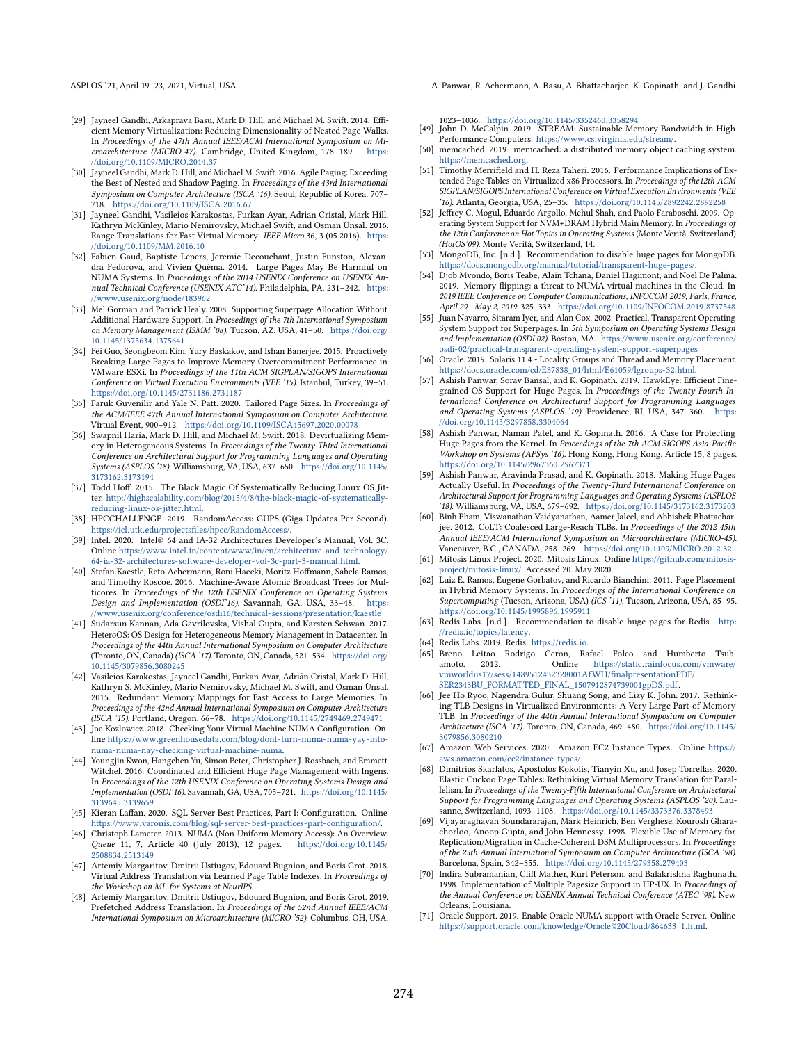- <span id="page-15-42"></span>[29] Jayneel Gandhi, Arkaprava Basu, Mark D. Hill, and Michael M. Swift. 2014. Efficient Memory Virtualization: Reducing Dimensionality of Nested Page Walks. In Proceedings of the 47th Annual IEEE/ACM International Symposium on Microarchitecture (MICRO-47). Cambridge, United Kingdom, 178-189. [https:](https://doi.org/10.1109/MICRO.2014.37) //doi.org/10.[1109/MICRO](https://doi.org/10.1109/MICRO.2014.37).2014.37
- <span id="page-15-6"></span>[30] Jayneel Gandhi, Mark D. Hill, and Michael M. Swift. 2016. Agile Paging: Exceeding the Best of Nested and Shadow Paging. In Proceedings of the 43rd International Symposium on Computer Architecture (ISCA '16). Seoul, Republic of Korea, 707-718. https://doi.org/10.[1109/ISCA](https://doi.org/10.1109/ISCA.2016.67).2016.67
- <span id="page-15-39"></span>[31] Jayneel Gandhi, Vasileios Karakostas, Furkan Ayar, Adrian Cristal, Mark Hill, Kathryn McKinley, Mario Nemirovsky, Michael Swift, and Osman Unsal. 2016. Range Translations for Fast Virtual Memory. IEEE Micro 36, 3 (05 2016). [https:](https://doi.org/10.1109/MM.2016.10) //doi.org/10.[1109/MM](https://doi.org/10.1109/MM.2016.10).2016.10
- <span id="page-15-22"></span>[32] Fabien Gaud, Baptiste Lepers, Jeremie Decouchant, Justin Funston, Alexandra Fedorova, and Vivien Quéma. 2014. Large Pages May Be Harmful on NUMA Systems. In Proceedings of the 2014 USENIX Conference on USENIX Annual Technical Conference (USENIX ATC'14). Philadelphia, PA, 231-242. [https:](https://www.usenix.org/node/183962) //www.usenix.[org/node/183962](https://www.usenix.org/node/183962)
- <span id="page-15-3"></span>[33] Mel Gorman and Patrick Healy. 2008. Supporting Superpage Allocation Without Additional Hardware Support. In Proceedings of the 7th International Symposium on Memory Management (ISMM '08). Tucson, AZ, USA, 41-50. [https://doi](https://doi.org/10.1145/1375634.1375641).org/ 10.[1145/1375634](https://doi.org/10.1145/1375634.1375641).1375641
- <span id="page-15-24"></span>[34] Fei Guo, Seongbeom Kim, Yury Baskakov, and Ishan Banerjee. 2015. Proactively Breaking Large Pages to Improve Memory Overcommitment Performance in VMware ESXi. In Proceedings of the 11th ACM SIGPLAN/SIGOPS International Conference on Virtual Execution Environments (VEE '15). Istanbul, Turkey, 39-51. https://doi.org/10.[1145/2731186](https://doi.org/10.1145/2731186.2731187).2731187
- <span id="page-15-29"></span>[35] Faruk Guvenilir and Yale N. Patt. 2020. Tailored Page Sizes. In Proceedings of the ACM/IEEE 47th Annual International Symposium on Computer Architecture. Virtual Event, 900-912. https://doi.org/10.[1109/ISCA45697](https://doi.org/10.1109/ISCA45697.2020.00078).2020.00078
- <span id="page-15-30"></span>[36] Swapnil Haria, Mark D. Hill, and Michael M. Swift. 2018. Devirtualizing Memory in Heterogeneous Systems. In Proceedings of the Twenty-Third International Conference on Architectural Support for Programming Languages and Operating Systems (ASPLOS '18). Williamsburg, VA, USA, 637-650. [https://doi](https://doi.org/10.1145/3173162.3173194).org/10.1145/ [3173162](https://doi.org/10.1145/3173162.3173194).3173194
- <span id="page-15-23"></span>[37] Todd Hoff. 2015. The Black Magic Of Systematically Reducing Linux OS Jitter. http://highscalability.[com/blog/2015/4/8/the-black-magic-of-systematically](http://highscalability.com/blog/2015/4/8/the-black-magic-of-systematically-reducing-linux-os-jitter.html)[reducing-linux-os-jitter](http://highscalability.com/blog/2015/4/8/the-black-magic-of-systematically-reducing-linux-os-jitter.html).html.
- <span id="page-15-16"></span>[38] HPCCHALLENGE. 2019. RandomAccess: GUPS (Giga Updates Per Second). https://icl.utk.[edu/projectsfiles/hpcc/RandomAccess/.](https://icl.utk.edu/projectsfiles/hpcc/RandomAccess/)
- <span id="page-15-18"></span>[39] Intel. 2020. Intel® 64 and IA-32 Architectures Developer's Manual, Vol. 3C. Online https://www.intel.[in/content/www/in/en/architecture-and-technology/](https://www.intel.in/content/www/in/en/architecture-and-technology/64-ia-32-architectures-software-developer-vol-3c-part-3-manual.html) [64-ia-32-architectures-software-developer-vol-3c-part-3-manual](https://www.intel.in/content/www/in/en/architecture-and-technology/64-ia-32-architectures-software-developer-vol-3c-part-3-manual.html).html.
- <span id="page-15-20"></span>[40] Stefan Kaestle, Reto Achermann, Roni Haecki, Moritz Hoffmann, Sabela Ramos, and Timothy Roscoe. 2016. Machine-Aware Atomic Broadcast Trees for Multicores. In Proceedings of the 12th USENIX Conference on Operating Systems Design and Implementation (OSDI'16). Savannah, GA, USA, 33-48. [https:](https://www.usenix.org/conference/osdi16/technical-sessions/presentation/kaestle) //www.usenix.[org/conference/osdi16/technical-sessions/presentation/kaestle](https://www.usenix.org/conference/osdi16/technical-sessions/presentation/kaestle)
- <span id="page-15-1"></span>[41] Sudarsun Kannan, Ada Gavrilovska, Vishal Gupta, and Karsten Schwan. 2017. HeteroOS: OS Design for Heterogeneous Memory Management in Datacenter. In Proceedings of the 44th Annual International Symposium on Computer Architecture (Toronto, ON, Canada) (ISCA '17). Toronto, ON, Canada, 521-534. [https://doi](https://doi.org/10.1145/3079856.3080245).org/ 10.[1145/3079856](https://doi.org/10.1145/3079856.3080245).3080245
- <span id="page-15-31"></span>[42] Vasileios Karakostas, Jayneel Gandhi, Furkan Ayar, Adrián Cristal, Mark D. Hill, Kathryn S. McKinley, Mario Nemirovsky, Michael M. Swift, and Osman Ünsal. 2015. Redundant Memory Mappings for Fast Access to Large Memories. In Proceedings of the 42nd Annual International Symposium on Computer Architecture (ISCA '15). Portland, Oregon, 66-78. https://doi.org/10.[1145/2749469](https://doi.org/10.1145/2749469.2749471).2749471
- <span id="page-15-12"></span>[43] Joe Kozlowicz. 2018. Checking Your Virtual Machine NUMA Configuration. Online https://www.greenhousedata.[com/blog/dont-turn-numa-numa-yay-into](https://www.greenhousedata.com/blog/dont-turn-numa-numa-yay-into-numa-numa-nay-checking-virtual-machine-numa)[numa-numa-nay-checking-virtual-machine-numa.](https://www.greenhousedata.com/blog/dont-turn-numa-numa-yay-into-numa-numa-nay-checking-virtual-machine-numa)
- <span id="page-15-7"></span>[44] Youngjin Kwon, Hangchen Yu, Simon Peter, Christopher J. Rossbach, and Emmett Witchel. 2016. Coordinated and Efficient Huge Page Management with Ingens. In Proceedings of the 12th USENIX Conference on Operating Systems Design and Implementation (OSDI'16). Savannah, GA, USA, 705-721. [https://doi](https://doi.org/10.1145/3139645.3139659).org/10.1145/ [3139645](https://doi.org/10.1145/3139645.3139659).3139659
- <span id="page-15-10"></span>[45] Kieran Laffan. 2020. SQL Server Best Practices, Part I: Configuration. Online https://www.varonis.[com/blog/sql-server-best-practices-part-configuration/.](https://www.varonis.com/blog/sql-server-best-practices-part-configuration/)
- <span id="page-15-36"></span>[46] Christoph Lameter. 2013. NUMA (Non-Uniform Memory Access): An Overview. Queue 11, 7, Article 40 (July 2013), 12 pages. [2508834](https://doi.org/10.1145/2508834.2513149).2513149
- <span id="page-15-32"></span>[47] Artemiy Margaritov, Dmitrii Ustiugov, Edouard Bugnion, and Boris Grot. 2018. Virtual Address Translation via Learned Page Table Indexes. In Proceedings of the Workshop on ML for Systems at NeurIPS.
- <span id="page-15-33"></span>[48] Artemiy Margaritov, Dmitrii Ustiugov, Edouard Bugnion, and Boris Grot. 2019. Prefetched Address Translation. In Proceedings of the 52nd Annual IEEE/ACM International Symposium on Microarchitecture (MICRO '52). Columbus, OH, USA,

ASPLOS '21, April 19-23, 2021, Virtual, USA A. Panwar, R. Achermann, A. Basu, A. Bhattacharjee, K. Gopinath, and J. Gandhi

- <span id="page-15-17"></span>1023ś1036. https://doi.org/10.[1145/3352460](https://doi.org/10.1145/3352460.3358294).3358294 [49] John D. McCalpin. 2019. STREAM: Sustainable Memory Bandwidth in High
- Performance Computers. [https://www](https://www.cs.virginia.edu/stream/).cs.virginia.edu/stream/.
- <span id="page-15-14"></span>[50] memcached. 2019. memcached: a distributed memory object caching system. [https://memcached](https://memcached.org).org.
- <span id="page-15-40"></span>[51] Timothy Merrifield and H. Reza Taheri. 2016. Performance Implications of Extended Page Tables on Virtualized x86 Processors. In Proceedings of the12th ACM SIGPLAN/SIGOPS International Conference on Virtual Execution Environments (VEE '16). Atlanta, Georgia, USA, 25-35. https://doi.org/10.[1145/2892242](https://doi.org/10.1145/2892242.2892258).2892258
- <span id="page-15-0"></span>[52] Jeffrey C. Mogul, Eduardo Argollo, Mehul Shah, and Paolo Faraboschi. 2009. Operating System Support for NVM+DRAM Hybrid Main Memory. In Proceedings of the 12th Conference on Hot Topics in Operating Systems (Monte Verità, Switzerland) (HotOS'09). Monte Verità, Switzerland, 14.
- <span id="page-15-27"></span>[53] MongoDB, Inc. [n.d.]. Recommendation to disable huge pages for MongoDB. https://docs.mongodb.[org/manual/tutorial/transparent-huge-pages/.](https://docs.mongodb.org/manual/tutorial/transparent-huge-pages/)
- <span id="page-15-13"></span>[54] Diob Myondo, Boris Teabe, Alain Tchana, Daniel Hagimont, and Noel De Palma. 2019. Memory flipping: a threat to NUMA virtual machines in the Cloud. In 2019 IEEE Conference on Computer Communications, INFOCOM 2019, Paris, France, April 29 - May 2, 2019. 325-333. https://doi.org/10.[1109/INFOCOM](https://doi.org/10.1109/INFOCOM.2019.8737548).2019.8737548
- <span id="page-15-25"></span>[55] Juan Navarro, Sitaram Iyer, and Alan Cox. 2002. Practical, Transparent Operating System Support for Superpages. In 5th Symposium on Operating Systems Design and Implementation (OSDI 02). Boston, MA. https://www.usenix.[org/conference/](https://www.usenix.org/conference/osdi-02/practical-transparent-operating-system-support-superpages) [osdi-02/practical-transparent-operating-system-support-superpages](https://www.usenix.org/conference/osdi-02/practical-transparent-operating-system-support-superpages)
- <span id="page-15-37"></span>[56] Oracle. 2019. Solaris 11.4 - Locality Groups and Thread and Memory Placement. https://docs.oracle.[com/cd/E37838\\_01/html/E61059/lgroups-32](https://docs.oracle.com/cd/E37838_01/html/E61059/lgroups-32.html).html.
- <span id="page-15-26"></span>[57] Ashish Panwar, Sorav Bansal, and K. Gopinath. 2019. HawkEye: Efficient Finegrained OS Support for Huge Pages. In Proceedings of the Twenty-Fourth International Conference on Architectural Support for Programming Languages and Operating Systems (ASPLOS '19). Providence, RI, USA, 347-360. [https:](https://doi.org/10.1145/3297858.3304064) //doi.org/10.[1145/3297858](https://doi.org/10.1145/3297858.3304064).3304064
- <span id="page-15-4"></span>[58] Ashish Panwar, Naman Patel, and K. Gopinath. 2016. A Case for Protecting Huge Pages from the Kernel. In Proceedings of the 7th ACM SIGOPS Asia-Pacific Workshop on Systems (APSys '16). Hong Kong, Hong Kong, Article 15, 8 pages. https://doi.org/10.[1145/2967360](https://doi.org/10.1145/2967360.2967371).2967371
- <span id="page-15-5"></span>[59] Ashish Panwar, Aravinda Prasad, and K. Gopinath. 2018. Making Huge Pages Actually Useful. In Proceedings of the Twenty-Third International Conference on Architectural Support for Programming Languages and Operating Systems (ASPLOS '18). Williamsburg, VA, USA, 679-692. https://doi.org/10.[1145/3173162](https://doi.org/10.1145/3173162.3173203).3173203
- <span id="page-15-41"></span>[60] Binh Pham, Viswanathan Vaidyanathan, Aamer Jaleel, and Abhishek Bhattacharjee. 2012. CoLT: Coalesced Large-Reach TLBs. In Proceedings of the 2012 45th Annual IEEE/ACM International Symposium on Microarchitecture (MICRO-45).<br>Vancouver, B.C., CANADA, 258–269. https://doi.org/10.[1109/MICRO](https://doi.org/10.1109/MICRO.2012.32).2012.32
- <span id="page-15-19"></span>[61] Mitosis Linux Project. 2020. Mitosis Linux. Online [https://github](https://github.com/mitosis-project/mitosis-linux/).com/mitosis[project/mitosis-linux/.](https://github.com/mitosis-project/mitosis-linux/) Accessed 20. May 2020.
- <span id="page-15-2"></span>[62] Luiz E. Ramos, Eugene Gorbatov, and Ricardo Bianchini. 2011. Page Placement in Hybrid Memory Systems. In Proceedings of the International Conference on Supercomputing (Tucson, Arizona, USA) (ICS '11). Tucson, Arizona, USA, 85-95. https://doi.org/10.[1145/1995896](https://doi.org/10.1145/1995896.1995911).1995911
- <span id="page-15-28"></span>[63] Redis Labs. [n.d.]. Recommendation to disable huge pages for Redis. [http:](http://redis.io/topics/latency) //redis.[io/topics/latency.](http://redis.io/topics/latency)
- <span id="page-15-8"></span>
- <span id="page-15-15"></span>[64] Redis Labs. 2019. Redis. [https://redis](https://redis.io).io. Breno Leitao Rodrigo Ceron, Rafael Folco and Humberto Tsub-<br>amoto. 2012. Online https://static.rainfocus.com/vmware/ https://static.rainfocus.[com/vmware/](https://static.rainfocus.com/vmware/vmworldus17/sess/1489512432328001AfWH/finalpresentationPDF/SER2343BU_FORMATTED_FINAL_1507912874739001gpDS.pdf) [vmworldus17/sess/1489512432328001AfWH/finalpresentationPDF/](https://static.rainfocus.com/vmware/vmworldus17/sess/1489512432328001AfWH/finalpresentationPDF/SER2343BU_FORMATTED_FINAL_1507912874739001gpDS.pdf) [SER2343BU\\_FORMATTED\\_FINAL\\_1507912874739001gpDS](https://static.rainfocus.com/vmware/vmworldus17/sess/1489512432328001AfWH/finalpresentationPDF/SER2343BU_FORMATTED_FINAL_1507912874739001gpDS.pdf).pdf.
- <span id="page-15-34"></span>[66] Jee Ho Ryoo, Nagendra Gulur, Shuang Song, and Lizy K. John. 2017. Rethinking TLB Designs in Virtualized Environments: A Very Large Part-of-Memory TLB. In Proceedings of the 44th Annual International Symposium on Computer Architecture (ISCA '17). Toronto, ON, Canada, 469-480. [https://doi](https://doi.org/10.1145/3079856.3080210).org/10.1145/ [3079856](https://doi.org/10.1145/3079856.3080210).3080210
- <span id="page-15-9"></span>[67] Amazon Web Services. 2020. Amazon EC2 Instance Types. Online [https://](https://aws.amazon.com/ec2/instance-types/) aws.amazon.[com/ec2/instance-types/.](https://aws.amazon.com/ec2/instance-types/)
- <span id="page-15-35"></span>[68] Dimitrios Skarlatos, Apostolos Kokolis, Tianyin Xu, and Josep Torrellas. 2020. Elastic Cuckoo Page Tables: Rethinking Virtual Memory Translation for Parallelism. In Proceedings of the Twenty-Fifth International Conference on Architectural Support for Programming Languages and Operating Systems (ASPLOS '20). Lau-sanne, Switzerland, 1093–1108. https://doi.org/10.[1145/3373376](https://doi.org/10.1145/3373376.3378493).3378493
- <span id="page-15-38"></span>[69] Vijayaraghavan Soundararajan, Mark Heinrich, Ben Verghese, Kourosh Gharachorloo, Anoop Gupta, and John Hennessy. 1998. Flexible Use of Memory for Replication/Migration in Cache-Coherent DSM Multiprocessors. In Proceedings of the 25th Annual International Symposium on Computer Architecture (ISCA '98). Barcelona, Spain, 342-355. https://doi.org/10.[1145/279358](https://doi.org/10.1145/279358.279403).279403
- <span id="page-15-21"></span>[70] Indira Subramanian, Cliff Mather, Kurt Peterson, and Balakrishna Raghunath. 1998. Implementation of Multiple Pagesize Support in HP-UX. In Proceedings of the Annual Conference on USENIX Annual Technical Conference (ATEC '98). New Orleans, Louisiana.
- <span id="page-15-11"></span>[71] Oracle Support. 2019. Enable Oracle NUMA support with Oracle Server. Online https://support.oracle.[com/knowledge/Oracle%20Cloud/864633\\_1](https://support.oracle.com/knowledge/Oracle%20Cloud/864633_1.html).html.